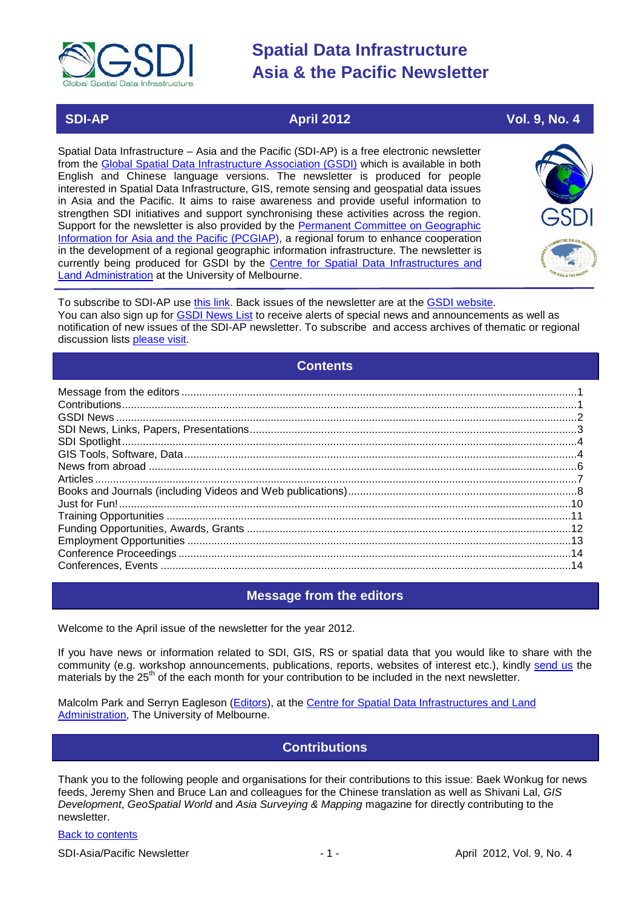

# **SDI-AP April 2012 Vol. 9, No. 4**

Spatial Data Infrastructure – Asia and the Pacific (SDI-AP) is a free electronic newsletter from the [Global Spatial Data Infrastructure Association \(GSDI\)](http://www.gsdi.org/) which is available in both English and Chinese language versions. The newsletter is produced for people interested in Spatial Data Infrastructure, GIS, remote sensing and geospatial data issues in Asia and the Pacific. It aims to raise awareness and provide useful information to strengthen SDI initiatives and support synchronising these activities across the region. Support for the newsletter is also provided by the Permanent Committee on Geographic [Information for Asia and the Pacific \(PCGIAP\)](http://www.pcgiap.org/), a regional forum to enhance cooperation in the development of a regional geographic information infrastructure. The newsletter is currently being produced for GSDI by the [Centre for Spatial Data Infrastructures and](http://www.csdila.unimelb.edu.au/)  [Land Administration](http://www.csdila.unimelb.edu.au/) at the University of Melbourne.



To subscribe to SDI-AP use [this link.](http://www.gsdi.org/newslist/gsdisubscribe.asp) Back issues of the newsletter are at the [GSDI website.](http://www.gsdi.org/newsletters.asp) You can also sign up for **GSDI News List** to receive alerts of special news and announcements as well as notification of new issues of the SDI-AP newsletter. To subscribe and access archives of thematic or regional discussion lists [please visit.](http://www.gsdi.org/discussionlists.asp)

# **Contents**

<span id="page-0-0"></span>

# **Message from the editors**

<span id="page-0-1"></span>Welcome to the April issue of the newsletter for the year 2012.

If you have news or information related to SDI, GIS, RS or spatial data that you would like to share with the community (e.g. workshop announcements, publications, reports, websites of interest etc.), kindly [send us](mailto:.SDI-AP@gsdi.org) the materials by the 25<sup>th</sup> of the each month for your contribution to be included in the next newsletter.

<span id="page-0-2"></span>Malcolm Park and Serryn Eagleson [\(Editors\)](mailto:Editor.SDIAP@gmail.com), at the [Centre for Spatial Data Infrastructures and Land](http://www.csdila.unimelb.edu.au/)  [Administration,](http://www.csdila.unimelb.edu.au/) The University of Melbourne.

# **Contributions**

Thank you to the following people and organisations for their contributions to this issue: Baek Wonkug for news feeds, Jeremy Shen and Bruce Lan and colleagues for the Chinese translation as well as Shivani Lal, *GIS Development*, *GeoSpatial World* and *Asia Surveying & Mapping* magazine for directly contributing to the newsletter.

## [Back to contents](#page-0-0)

SDI-Asia/Pacific Newsletter - 1 - April 2012, Vol. 9, No. 4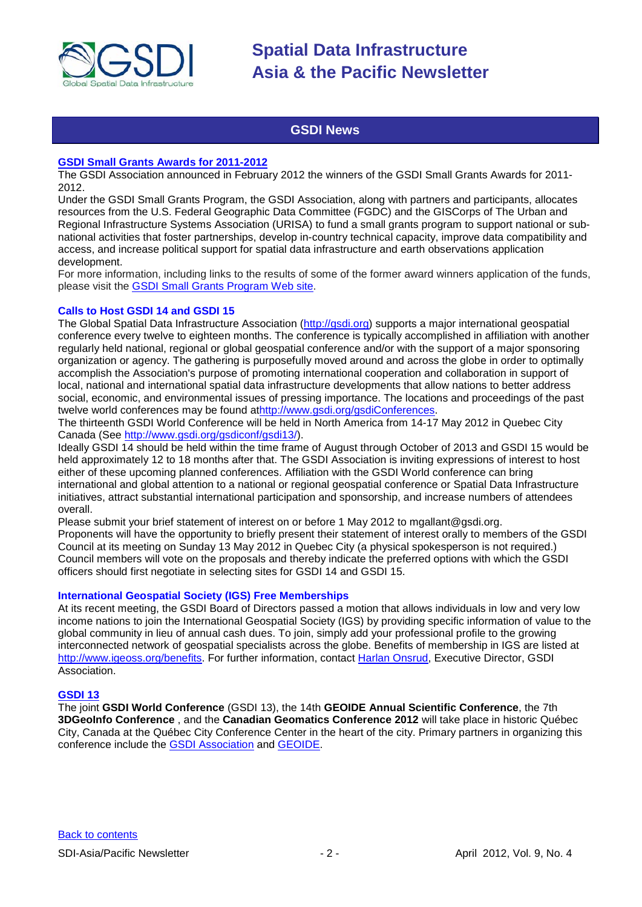

# **GSDI News**

#### <span id="page-1-0"></span>**[GSDI Small Grants Awards for 2011-2012](http://www.gsdi.org/sic1)**

The GSDI Association announced in February 2012 the winners of the GSDI Small Grants Awards for 2011- 2012.

Under the GSDI Small Grants Program, the GSDI Association, along with partners and participants, allocates resources from the U.S. Federal Geographic Data Committee (FGDC) and the GISCorps of The Urban and Regional Infrastructure Systems Association (URISA) to fund a small grants program to support national or subnational activities that foster partnerships, develop in-country technical capacity, improve data compatibility and access, and increase political support for spatial data infrastructure and earth observations application development.

For more information, including links to the results of some of the former award winners application of the funds, please visit the [GSDI Small Grants Program Web site.](http://www.gsdi.org/sic1)

#### **Calls to Host GSDI 14 and GSDI 15**

The Global Spatial Data Infrastructure Association [\(http://gsdi.org\)](https://owa.unimelb.edu.au/owa/redir.aspx?C=39ab9597be1b49a3b629e59c6f83db18&URL=http%3a%2f%2fgsdi.org) supports a major international geospatial conference every twelve to eighteen months. The conference is typically accomplished in affiliation with another regularly held national, regional or global geospatial conference and/or with the support of a major sponsoring organization or agency. The gathering is purposefully moved around and across the globe in order to optimally accomplish the Association's purpose of promoting international cooperation and collaboration in support of local, national and international spatial data infrastructure developments that allow nations to better address social, economic, and environmental issues of pressing importance. The locations and proceedings of the past twelve world conferences may be found a[thttp://www.gsdi.org/gsdiConferences.](https://owa.unimelb.edu.au/owa/redir.aspx?C=39ab9597be1b49a3b629e59c6f83db18&URL=http%3a%2f%2fwww.gsdi.org%2fgsdiConferences)

The thirteenth GSDI World Conference will be held in North America from 14-17 May 2012 in Quebec City Canada (See [http://www.gsdi.org/gsdiconf/gsdi13/\)](https://owa.unimelb.edu.au/owa/redir.aspx?C=39ab9597be1b49a3b629e59c6f83db18&URL=http%3a%2f%2fwww.gsdi.org%2fgsdiconf%2fgsdi13%2f).

Ideally GSDI 14 should be held within the time frame of August through October of 2013 and GSDI 15 would be held approximately 12 to 18 months after that. The GSDI Association is inviting expressions of interest to host either of these upcoming planned conferences. Affiliation with the GSDI World conference can bring international and global attention to a national or regional geospatial conference or Spatial Data Infrastructure initiatives, attract substantial international participation and sponsorship, and increase numbers of attendees overall.

Please submit your brief statement of interest on or before 1 May 2012 to mgallant@gsdi.org. Proponents will have the opportunity to briefly present their statement of interest orally to members of the GSDI Council at its meeting on Sunday 13 May 2012 in Quebec City (a physical spokesperson is not required.) Council members will vote on the proposals and thereby indicate the preferred options with which the GSDI officers should first negotiate in selecting sites for GSDI 14 and GSDI 15.

#### **International Geospatial Society (IGS) Free Memberships**

At its recent meeting, the GSDI Board of Directors passed a motion that allows individuals in low and very low income nations to join the International Geospatial Society (IGS) by providing specific information of value to the global community in lieu of annual cash dues. To join, simply add your professional profile to the growing interconnected network of geospatial specialists across the globe. Benefits of membership in IGS are listed at [http://www.igeoss.org/benefits.](https://owa.unimelb.edu.au/owa/redir.aspx?C=54c2b4d3973d480282dc7c38384f4204&URL=http%3a%2f%2fwww.igeoss.org%2fbenefits) For further information, contact [Harlan Onsrud,](mailto:onsrud@gsdi.org) Executive Director, GSDI Association.

#### **[GSDI 13](http://www.gsdi.org/gsdiconf/gsdi13/)**

The joint **GSDI World Conference** (GSDI 13), the 14th **GEOIDE Annual Scientific Conference**, the 7th **3DGeoInfo Conference** , and the **Canadian Geomatics Conference 2012** will take place in historic Québec City, Canada at the Québec City Conference Center in the heart of the city. Primary partners in organizing this conference include the [GSDI Association](http://www.gsdi.org/) and [GEOIDE.](http://www.geoide.ulaval.ca/)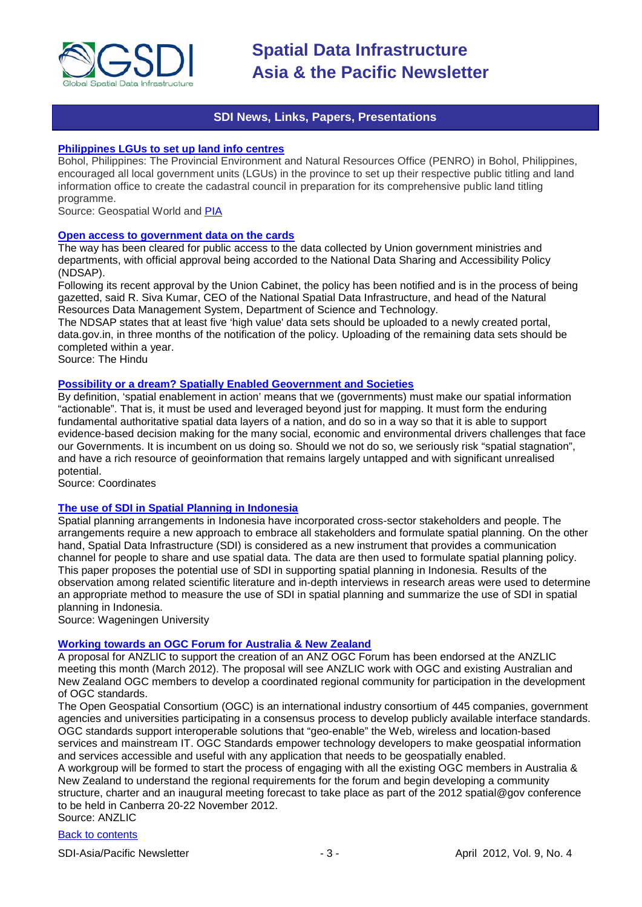

# **SDI News, Links, Papers, Presentations**

#### <span id="page-2-0"></span>**[Philippines LGUs to set up land info centres](http://www.geospatialworld.net/index.php?option=com_content&view=article&id=24344:philippines-lgus-to-set-up-land-info-centres&catid=58:application-lis)**

Bohol, Philippines: The Provincial Environment and Natural Resources Office (PENRO) in Bohol, Philippines, encouraged all local government units (LGUs) in the province to set up their respective public titling and land information office to create the cadastral council in preparation for its comprehensive public land titling programme.

Source: Geospatial World and [PIA](http://www.pia.gov.ph/news/index.php?article=1051332036764)

#### **[Open access to government data on the cards](http://www.thehindu.com/sci-tech/technology/article3223645.ece)**

The way has been cleared for public access to the data collected by Union government ministries and departments, with official approval being accorded to the National Data Sharing and Accessibility Policy (NDSAP).

Following its recent approval by the Union Cabinet, the policy has been notified and is in the process of being gazetted, said R. Siva Kumar, CEO of the National Spatial Data Infrastructure, and head of the Natural Resources Data Management System, Department of Science and Technology.

The NDSAP states that at least five 'high value' data sets should be uploaded to a newly created portal, data.gov.in, in three months of the notification of the policy. Uploading of the remaining data sets should be completed within a year.

Source: The Hindu

#### **[Possibility or a dream? Spatially Enabled Geovernment and Societies](http://mycoordinates.org/category/sdi/sdi-new/)**

By definition, 'spatial enablement in action' means that we (governments) must make our spatial information "actionable". That is, it must be used and leveraged beyond just for mapping. It must form the enduring fundamental authoritative spatial data layers of a nation, and do so in a way so that it is able to support evidence-based decision making for the many social, economic and environmental drivers challenges that face our Governments. It is incumbent on us doing so. Should we not do so, we seriously risk "spatial stagnation", and have a rich resource of geoinformation that remains largely untapped and with significant unrealised potential.

Source: Coordinates

#### **[The use of SDI in Spatial Planning in Indonesia](http://www.grs.wur.nl/uk/newsagenda/archive/agenda/2012/The_use_of_SDI_in_Spatial_Planning_in_Indonesia.htm)**

Spatial planning arrangements in Indonesia have incorporated cross-sector stakeholders and people. The arrangements require a new approach to embrace all stakeholders and formulate spatial planning. On the other hand, Spatial Data Infrastructure (SDI) is considered as a new instrument that provides a communication channel for people to share and use spatial data. The data are then used to formulate spatial planning policy. This paper proposes the potential use of SDI in supporting spatial planning in Indonesia. Results of the observation among related scientific literature and in-depth interviews in research areas were used to determine an appropriate method to measure the use of SDI in spatial planning and summarize the use of SDI in spatial planning in Indonesia.

Source: Wageningen University

#### **[Working towards an OGC Forum for Australia & New Zealand](http://www.anzlic.org.au/Latest+News/493.aspx)**

A proposal for ANZLIC to support the creation of an ANZ OGC Forum has been endorsed at the ANZLIC meeting this month (March 2012). The proposal will see ANZLIC work with OGC and existing Australian and New Zealand OGC members to develop a coordinated regional community for participation in the development of OGC standards.

The Open Geospatial Consortium (OGC) is an international industry consortium of 445 companies, government agencies and universities participating in a consensus process to develop publicly available interface standards. OGC standards support interoperable solutions that "geo-enable" the Web, wireless and location-based services and mainstream IT. OGC Standards empower technology developers to make geospatial information and services accessible and useful with any application that needs to be geospatially enabled.

A workgroup will be formed to start the process of engaging with all the existing OGC members in Australia & New Zealand to understand the regional requirements for the forum and begin developing a community structure, charter and an inaugural meeting forecast to take place as part of the 2012 spatial@gov conference to be held in Canberra 20-22 November 2012.

Source: ANZLIC

# [Back to contents](#page-0-0)

SDI-Asia/Pacific Newsletter  $-3 -3 -$  April 2012, Vol. 9, No. 4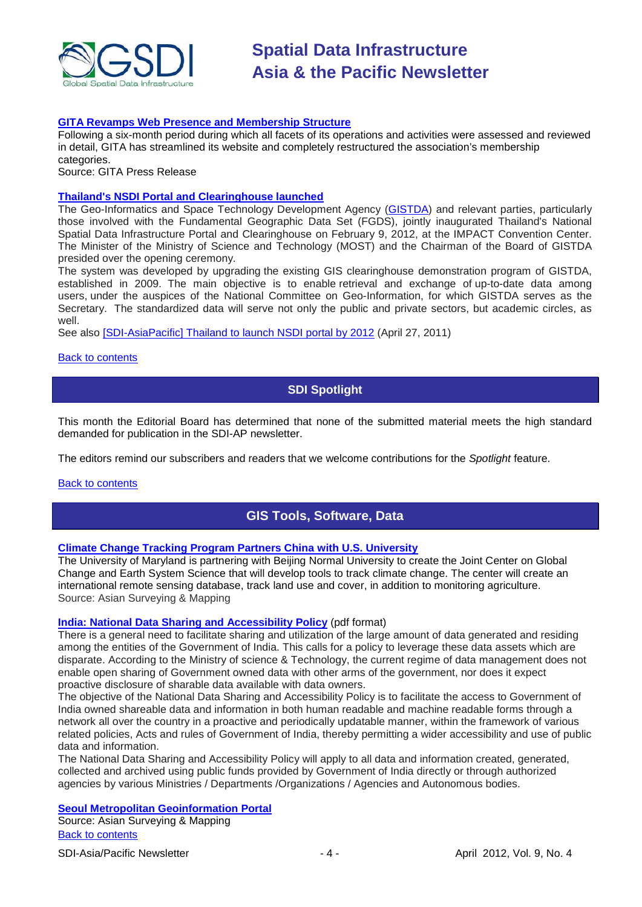

#### **[GITA Revamps Web Presence and Membership Structure](http://www.gita.org/documents/MembershipPressRelease.pdf)**

Following a six-month period during which all facets of its operations and activities were assessed and reviewed in detail, GITA has streamlined its website and completely restructured the association's membership categories.

Source: GITA Press Release

#### **[Thailand's NSDI Portal and Clearinghouse launched](http://www.gistda.or.th/gistda_n/en/index.php?option=com_jevents&task=icalrepeat.detail&evid=666&Itemid=50&year=2012&month=02&day=09&uid=3b67d13f4e58c1f6f9b3ba33caffbb7a)**

The Geo-Informatics and Space Technology Development Agency [\(GISTDA\)](http://thaisdi.gistda.or.th/) and relevant parties, particularly those involved with the Fundamental Geographic Data Set (FGDS), jointly inaugurated Thailand's National Spatial Data Infrastructure Portal and Clearinghouse on February 9, 2012, at the IMPACT Convention Center. The Minister of the Ministry of Science and Technology (MOST) and the Chairman of the Board of GISTDA presided over the opening ceremony.

The system was developed by upgrading the existing GIS clearinghouse demonstration program of GISTDA, established in 2009. The main objective is to enable retrieval and exchange of up-to-date data among users, under the auspices of the National Committee on Geo-Information, for which GISTDA serves as the Secretary. The standardized data will serve not only the public and private sectors, but academic circles, as well.

See also [\[SDI-AsiaPacific\] Thailand to launch NSDI portal by 2012](http://lists.gsdi.org/pipermail/sdi-asiapacific/2011-April/000771.html) (April 27, 2011)

#### <span id="page-3-0"></span>**[Back to contents](#page-0-0)**

# **SDI Spotlight**

This month the Editorial Board has determined that none of the submitted material meets the high standard demanded for publication in the SDI-AP newsletter.

The editors remind our subscribers and readers that we welcome contributions for the *Spotlight* feature.

#### <span id="page-3-1"></span>[Back to contents](#page-0-0)

# **GIS Tools, Software, Data**

# **[Climate Change Tracking Program Partners China with U.S. University](http://www.asmmag.com/201202293259/climate-change-tracking-program-partners-china-with-us-university.html)**

The University of Maryland is partnering with Beijing Normal University to create the Joint Center on Global Change and Earth System Science that will develop tools to track climate change. The center will create an international remote sensing database, track land use and cover, in addition to monitoring agriculture. Source: Asian Surveying & Mapping

#### **[India: National Data Sharing and Accessibility Policy](http://www.dst.gov.in/NDSAP-30Jan2012.pdf)** (pdf format)

There is a general need to facilitate sharing and utilization of the large amount of data generated and residing among the entities of the Government of India. This calls for a policy to leverage these data assets which are disparate. According to the Ministry of science & Technology, the current regime of data management does not enable open sharing of Government owned data with other arms of the government, nor does it expect proactive disclosure of sharable data available with data owners.

The objective of the National Data Sharing and Accessibility Policy is to facilitate the access to Government of India owned shareable data and information in both human readable and machine readable forms through a network all over the country in a proactive and periodically updatable manner, within the framework of various related policies, Acts and rules of Government of India, thereby permitting a wider accessibility and use of public data and information.

The National Data Sharing and Accessibility Policy will apply to all data and information created, generated, collected and archived using public funds provided by Government of India directly or through authorized agencies by various Ministries / Departments /Organizations / Agencies and Autonomous bodies.

# **[Seoul Metropolitan Geoinformation Portal](http://www.asmmag.com/201203293458/seoul-metropolitan-geoinformation-portal.html)**

[Back to contents](#page-0-0) Source: Asian Surveying & Mapping

SDI-Asia/Pacific Newsletter  $\begin{array}{ccc} -4 \\ -4 \end{array}$  -  $\begin{array}{ccc} -4 \\ -4 \end{array}$  April 2012, Vol. 9, No. 4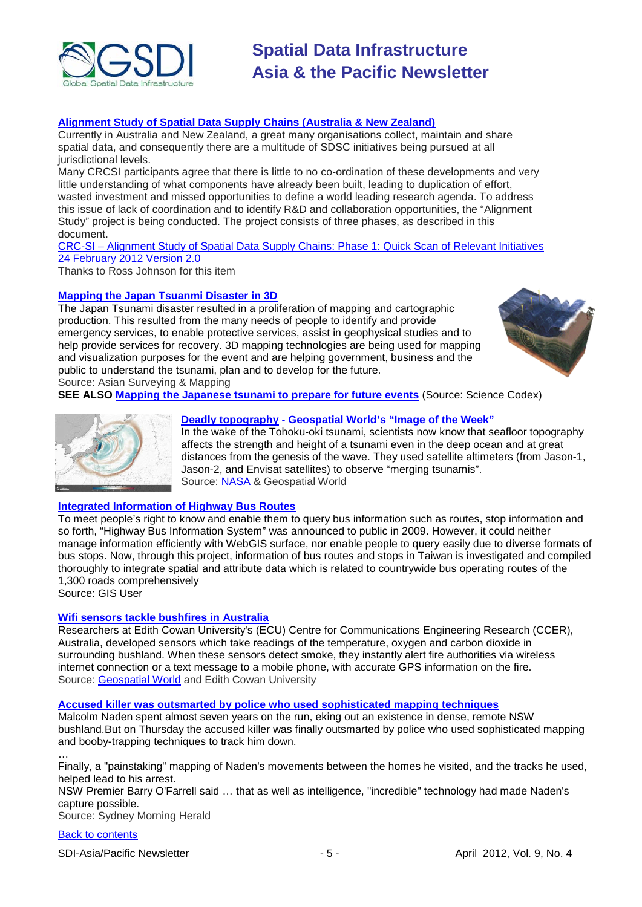

# **[Alignment Study of Spatial Data Supply Chains \(Australia & New Zealand\)](http://www.crcsi.com.au/News/SDI-Study-report-released)**

Currently in Australia and New Zealand, a great many organisations collect, maintain and share spatial data, and consequently there are a multitude of SDSC initiatives being pursued at all jurisdictional levels.

Many CRCSI participants agree that there is little to no co-ordination of these developments and very little understanding of what components have already been built, leading to duplication of effort, wasted investment and missed opportunities to define a world leading research agenda. To address this issue of lack of coordination and to identify R&D and collaboration opportunities, the "Alignment Study" project is being conducted. The project consists of three phases, as described in this document.

CRC-SI – [Alignment Study of Spatial Data Supply Chains: Phase 1: Quick Scan of Relevant Initiatives](http://www.crcsi.com.au/getattachment/dabdca57-d7e7-4080-97cc-36db9a89173a/Alignment-Study-of-Spatial-Data-Supply-Chains.aspx) [24 February 2012 Version 2.0](http://www.crcsi.com.au/getattachment/dabdca57-d7e7-4080-97cc-36db9a89173a/Alignment-Study-of-Spatial-Data-Supply-Chains.aspx)

Thanks to Ross Johnson for this item

#### **[Mapping the Japan Tsuanmi Disaster in 3D](http://www.asmmag.com/201203093340/mapping-the-japan-tsuanmi-disaster-in-3d.html)**

The Japan Tsunami disaster resulted in a proliferation of mapping and cartographic production. This resulted from the many needs of people to identify and provide emergency services, to enable protective services, assist in geophysical studies and to help provide services for recovery. 3D mapping technologies are being used for mapping and visualization purposes for the event and are helping government, business and the public to understand the tsunami, plan and to develop for the future.



Source: Asian Surveying & Mapping

**SEE ALSO [Mapping the Japanese tsunami to prepare for future events](http://www.sciencecodex.com/mapping_the_japanese_tsunami_to_prepare_for_future_events-87522)** (Source: Science Codex)



# **[Deadly topography](http://geospatialworld.net/index.php?option=com_imageoftheweek&view=managetemplate&id=77&Itemid=139&year=2012)** - **Geospatial World's "Image of the Week"**

In the wake of the Tohoku-oki tsunami, scientists now know that seafloor topography affects the strength and height of a tsunami even in the deep ocean and at great distances from the genesis of the wave. They used satellite altimeters (from Jason-1, Jason-2, and Envisat satellites) to observe "merging tsunamis". Source: [NASA](http://earthobservatory.nasa.gov/IOTD/view.php?id=77331) & Geospatial World

# **[Integrated Information of Highway Bus Routes](http://www.gisuser.com/content/view/26181/28/)**

To meet people's right to know and enable them to query bus information such as routes, stop information and so forth, "Highway Bus Information System" was announced to public in 2009. However, it could neither manage information efficiently with WebGIS surface, nor enable people to query easily due to diverse formats of bus stops. Now, through this project, information of bus routes and stops in Taiwan is investigated and compiled thoroughly to integrate spatial and attribute data which is related to countrywide bus operating routes of the 1,300 roads comprehensively

Source: GIS User

#### **[Wifi sensors tackle bushfires in Australia](http://www.ecu.edu.au/news/latest-news/2012/02/wifi-sensors-to-tackle-bushfires)**

Researchers at Edith Cowan University's (ECU) Centre for Communications Engineering Research (CCER), Australia, developed sensors which take readings of the temperature, oxygen and carbon dioxide in surrounding bushland. When these sensors detect smoke, they instantly alert fire authorities via wireless internet connection or a text message to a mobile phone, with accurate GPS information on the fire. Source: [Geospatial World](http://geospatialworld.net/index.php?option=com_content&view=article&id=24302%3Awifi-sensors-tackle-bushfires-in-australia&catid=53%3Aapplication-natural-hazard-management&Itemid=1) and Edith Cowan University

#### **[Accused killer was outsmarted by police who used sophisticated mapping techniques](http://news.smh.com.au/breaking-news-national/naden-faces-court-after-years-on-the-run-20120322-1vl2h.html)**

Malcolm Naden spent almost seven years on the run, eking out an existence in dense, remote NSW bushland.But on Thursday the accused killer was finally outsmarted by police who used sophisticated mapping and booby-trapping techniques to track him down.

Finally, a "painstaking" mapping of Naden's movements between the homes he visited, and the tracks he used, helped lead to his arrest.

NSW Premier Barry O'Farrell said … that as well as intelligence, "incredible" technology had made Naden's capture possible.

Source: Sydney Morning Herald

## [Back to contents](#page-0-0)

…

SDI-Asia/Pacific Newsletter  $\sim$  5 - April 2012, Vol. 9, No. 4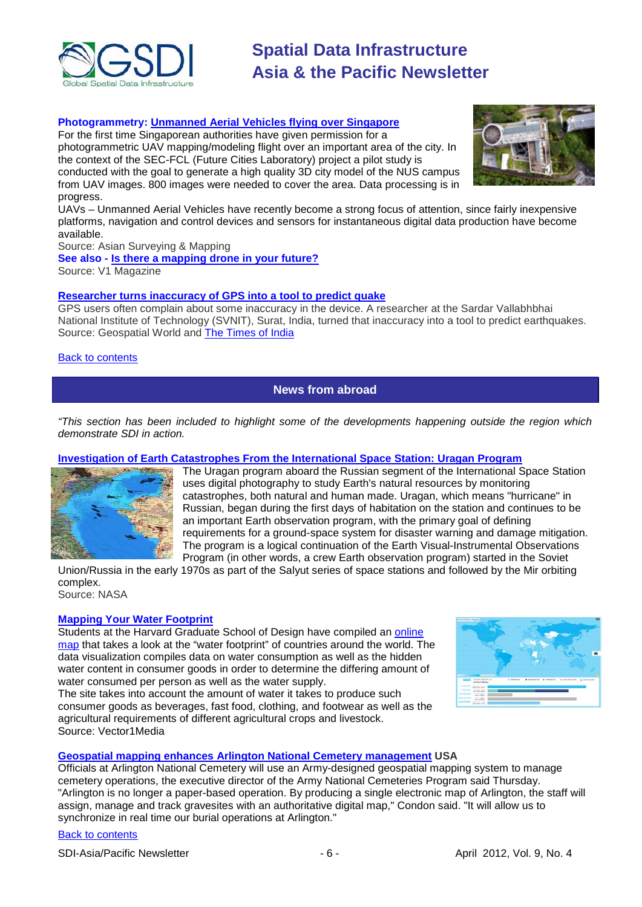

### **Photogrammetry: [Unmanned Aerial Vehicles flying over Singapore](http://www.asmmag.com/201203213420/first-civilian-photogrammetric-uav-flight-over-singapore.html)**

For the first time Singaporean authorities have given permission for a photogrammetric UAV mapping/modeling flight over an important area of the city. In the context of the SEC-FCL (Future Cities Laboratory) project a pilot study is conducted with the goal to generate a high quality 3D city model of the NUS campus from UAV images. 800 images were needed to cover the area. Data processing is in progress.



UAVs – Unmanned Aerial Vehicles have recently become a strong focus of attention, since fairly inexpensive platforms, navigation and control devices and sensors for instantaneous digital data production have become available.

Source: Asian Surveying & Mapping

**See also - [Is there a mapping drone in your future?](http://www.vector1media.com/dialog/perspectives/26336-is-there-a-mapping-drone-in-your-future.html)**

Source: V1 Magazine

#### **[Researcher turns inaccuracy of GPS into a tool to predict](http://geospatialworld.net/index.php?option=com_content&view=article&id=24147%3Aresearcher-turns-inaccuracy-of-gps-into-a-tool-to-predict-quake&catid=74%3Amiscellaneous-research&Itemid=1) quake**

GPS users often complain about some inaccuracy in the device. A researcher at the Sardar Vallabhbhai National Institute of Technology (SVNIT), Surat, India, turned that inaccuracy into a tool to predict earthquakes. Source: Geospatial World and [The Times of India](http://articles.timesofindia.indiatimes.com/2012-02-21/surat/31082242_1_sumatra-quake-gps-study)

#### <span id="page-5-0"></span>**[Back to contents](#page-0-0)**

**News from abroad**

*"This section has been included to highlight some of the developments happening outside the region which demonstrate SDI in action.*

# **[Investigation of Earth Catastrophes From the International Space Station: Uragan Program](http://www.nasa.gov/mission_pages/station/research/benefits/uragan_program.html)**



The Uragan program aboard the Russian segment of the International Space Station uses digital photography to study Earth's natural resources by monitoring catastrophes, both natural and human made. Uragan, which means "hurricane" in Russian, began during the first days of habitation on the station and continues to be an important Earth observation program, with the primary goal of defining requirements for a ground-space system for disaster warning and damage mitigation. The program is a logical continuation of the Earth Visual-Instrumental Observations Program (in other words, a crew Earth observation program) started in the Soviet

Union/Russia in the early 1970s as part of the Salyut series of space stations and followed by the Mir orbiting complex. Source: NASA

# **[Mapping Your Water Footprint](http://www.vector1media.com/spatialsustain/mapping-your-water-footprint.html?utm_source=feedburner&utm_medium=feed&utm_campaign=Feed%3A+SpatialSustain+%28Spatial+Sustain%29&utm_content=Google+Reader)**

Students at the Harvard Graduate School of Design have compiled an [online](http://www.josephbergen.com/viz/water/)  [map](http://www.josephbergen.com/viz/water/) that takes a look at the "water footprint" of countries around the world. The data visualization compiles data on water consumption as well as the hidden water content in consumer goods in order to determine the differing amount of water consumed per person as well as the water supply.

The site takes into account the amount of water it takes to produce such consumer goods as beverages, fast food, clothing, and footwear as well as the agricultural requirements of different agricultural crops and livestock. Source: Vector1Media



# **[Geospatial mapping enhances Arlington National Cemetery management](http://www.gisuser.com/content/view/26152/2/) USA**

Officials at Arlington National Cemetery will use an Army-designed geospatial mapping system to manage cemetery operations, the executive director of the Army National Cemeteries Program said Thursday. "Arlington is no longer a paper-based operation. By producing a single electronic map of Arlington, the staff will assign, manage and track gravesites with an authoritative digital map," Condon said. "It will allow us to synchronize in real time our burial operations at Arlington."

#### [Back to contents](#page-0-0)

SDI-Asia/Pacific Newsletter  $\overline{6}$  - 6 -  $\overline{9}$  -  $\overline{6}$  -  $\overline{9}$  -  $\overline{9}$  -  $\overline{9}$  -  $\overline{9}$  -  $\overline{9}$  -  $\overline{9}$  -  $\overline{9}$  -  $\overline{9}$  -  $\overline{9}$  -  $\overline{9}$  -  $\overline{9}$  -  $\overline{9}$  -  $\overline{9}$  -  $\overline{9}$  -  $\over$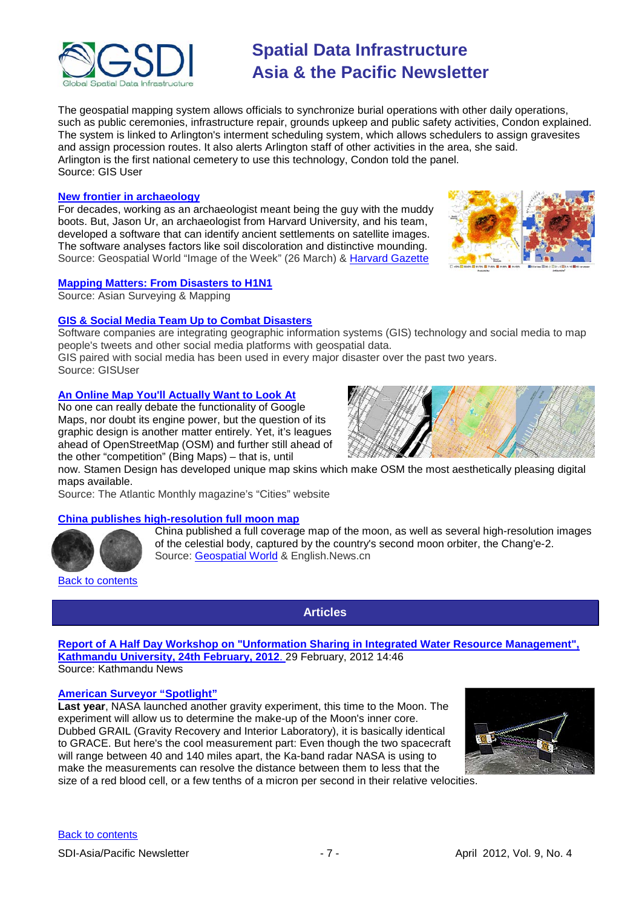

The geospatial mapping system allows officials to synchronize burial operations with other daily operations, such as public ceremonies, infrastructure repair, grounds upkeep and public safety activities, Condon explained. The system is linked to Arlington's interment scheduling system, which allows schedulers to assign gravesites and assign procession routes. It also alerts Arlington staff of other activities in the area, she said. Arlington is the first national cemetery to use this technology, Condon told the panel. Source: GIS User

#### **New frontier in archaeology**

For decades, working as an archaeologist meant being the guy with the muddy boots. But, Jason Ur, an archaeologist from Harvard University, and his team, developed a software that can identify ancient settlements on satellite images. The software analyses factors like soil discoloration and distinctive mounding. Source: Geospatial World "Image of the Week" (26 March) & [Harvard Gazette](http://news.harvard.edu/gazette/story/2012/03/new-frontier-in-archaeology/)



# **[Mapping Matters: From Disasters to H1N1](http://www.asmmag.com/201203223424/mapping-matters-from-disasters-to-h1n1.html)**

Source: Asian Surveying & Mapping

# **[GIS & Social Media Team Up to Combat Disasters](http://www.gisuser.com/content/view/25991/2/)**

Software companies are integrating geographic information systems (GIS) technology and social media to map people's tweets and other social media platforms with geospatial data.

GIS paired with social media has been used in every major disaster over the past two years. Source: GISUser

# **[An Online Map You'll Actually Want to Look At](http://www.theatlanticcities.com/design/2012/03/online-map-youll-actually-want-look/1579/)**

No one can really debate the functionality of Google Maps, nor doubt its engine power, but the question of its graphic design is another matter entirely. Yet, it's leagues ahead of OpenStreetMap (OSM) and further still ahead of the other "competition" (Bing Maps) – that is, until

now. Stamen Design has developed unique map skins which make OSM the most aesthetically pleasing digital maps available.

Source: The Atlantic Monthly magazine's "Cities" website

## **[China publishes high-resolution full moon map](http://news.xinhuanet.com/english/sci/2012-02/06/c_131393210.htm)**



China published a full coverage map of the moon, as well as several high-resolution images of the celestial body, captured by the country's second moon orbiter, the Chang'e-2. Source: [Geospatial World](http://www.geospatialworld.net/index.php?option=com_content&view=article&id=24040%3Achina-unveils-full-moon-map&catid=49%3Aproduct-data&Itemid=1) & English.News.cn

<span id="page-6-0"></span>**[Back to contents](#page-0-0)** 

**Articles**

**[Report of A Half Day Workshop on "Unformation Sharing in Integrated Water Resource Management",](http://www.ku.edu.np/news/index.php?op=ViewArticle&articleId=376&blogId=1)  [Kathmandu University, 24th February, 2012](http://www.ku.edu.np/news/index.php?op=ViewArticle&articleId=376&blogId=1)**. 29 February, 2012 14:46 Source: Kathmandu News

#### **[American Surveyor "Spotlight"](http://www.amerisurv.com/newsletter/28MAR2012.htm)**

**Last year**, NASA launched another gravity experiment, this time to the Moon. The experiment will allow us to determine the make-up of the Moon's inner core. Dubbed GRAIL (Gravity Recovery and Interior Laboratory), it is basically identical to GRACE. But here's the cool measurement part: Even though the two spacecraft will range between 40 and 140 miles apart, the Ka-band radar NASA is using to make the measurements can resolve the distance between them to less that the size of a red blood cell, or a few tenths of a micron per second in their relative velocities.

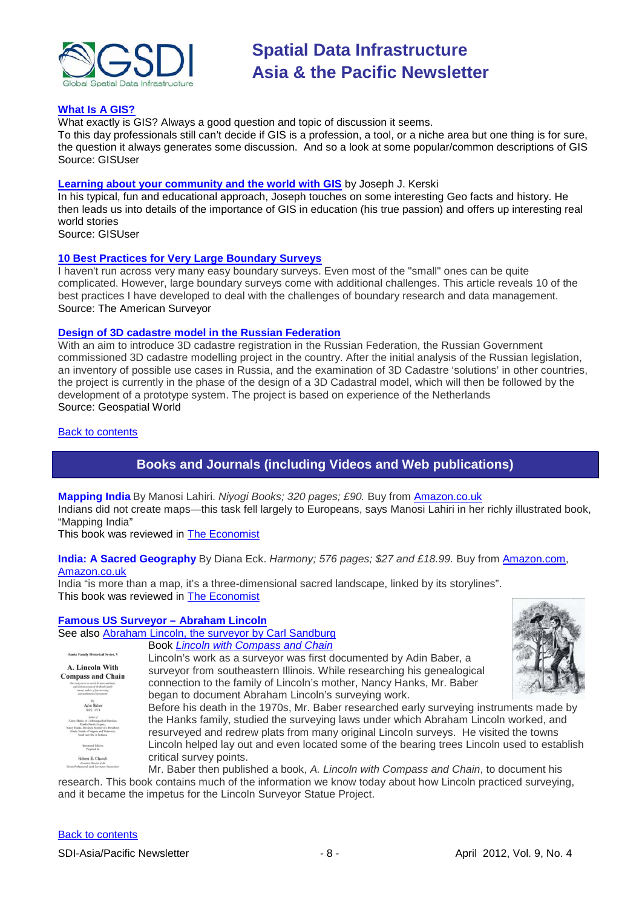

#### **[What Is A GIS?](http://www.gisuser.com/content/view/26145/222/)**

What exactly is GIS? Always a good question and topic of discussion it seems.

To this day professionals still can't decide if GIS is a profession, a tool, or a niche area but one thing is for sure, the question it always generates some discussion. And so a look at some popular/common descriptions of GIS Source: GISUser

#### **[Learning about your community and the world with GIS](http://www.gisuser.com/content/view/26120/222/)** by Joseph J. Kerski

In his typical, fun and educational approach, Joseph touches on some interesting Geo facts and history. He then leads us into details of the importance of GIS in education (his true passion) and offers up interesting real world stories

Source: GISUser

#### **[10 Best Practices for Very Large Boundary Surveys](http://www.amerisurv.com/content/view/9748/153/)**

I haven't run across very many easy boundary surveys. Even most of the "small" ones can be quite complicated. However, large boundary surveys come with additional challenges. This article reveals 10 of the best practices I have developed to deal with the challenges of boundary research and data management. Source: The American Surveyor

#### **[Design of 3D cadastre model in the Russian Federation](http://geospatialworld.net/index.php?option=com_content&view=article&id=24194%3Adesign-of-the-3d-cadastre-model-in-the-russian-federation&catid=142%3Aland-information-system-rural-cadastral&Itemid=41)**

With an aim to introduce 3D cadastre registration in the Russian Federation, the Russian Government commissioned 3D cadastre modelling project in the country. After the initial analysis of the Russian legislation, an inventory of possible use cases in Russia, and the examination of 3D Cadastre 'solutions' in other countries, the project is currently in the phase of the design of a 3D Cadastral model, which will then be followed by the development of a prototype system. The project is based on experience of the Netherlands Source: Geospatial World

<span id="page-7-0"></span>[Back to contents](#page-0-0)

# **Books and Journals (including Videos and Web publications)**

**Mapping India** By Manosi Lahiri. *Niyogi Books; 320 pages; £90.* Buy from [Amazon.co.uk](http://www.amazon.co.uk/exec/obidos/ASIN/8189738984/economistshop-21) Indians did not create maps—this task fell largely to Europeans, says Manosi Lahiri in her richly illustrated book, "Mapping India"

This book was reviewed in **The Economist** 

# **India: A Sacred Geography** By Diana Eck. *Harmony; 576 pages; \$27 and £18.99.* Buy from [Amazon.com,](http://www.amazon.com/exec/obidos/ASIN/0385531907/theeconomists-20) [Amazon.co.uk](http://www.amazon.co.uk/exec/obidos/ASIN/0385531907/economistshop-21)

India "is more than a map, it's a three-dimensional sacred landscape, linked by its storylines". This book was reviewed in [The Economist](http://www.economist.com/node/21550765)

# **[Famous US Surveyor –](http://www.surveyhistory.org/abraham_lincoln_-_the_surveyor1.htm) Abraham Lincoln**

See also [Abraham Lincoln, the surveyor by Carl Sandburg](http://www.surveyhistory.org/lincoln_the_surveyor1.htm) Book *[Lincoln with Compass and Chain](http://www.abelincoln.com/surveyor_book.html)* Lincoln's work as a surveyor was first documented by Adin Baber, a A. Lincoln With surveyor from southeastern Illinois. While researching his genealogical **Compass and Chain** connection to the family of Lincoln's mother, Nancy Hanks, Mr. Baber began to document Abraham Lincoln's surveying work. Before his death in the 1970s, Mr. Baber researched early surveying instruments made by the Hanks family, studied the surveying laws under which Abraham Lincoln worked, and resurveyed and redrew plats from many original Lincoln surveys. He visited the towns Lincoln helped lay out and even located some of the bearing trees Lincoln used to establish critical survey points. Robert E. Church Mr. Baber then published a book, *A. Lincoln with Compass and Chain*, to document his

research. This book contains much of the information we know today about how Lincoln practiced surveying, and it became the impetus for the Lincoln Surveyor Statue Project.

#### [Back to contents](#page-0-0)

SDI-Asia/Pacific Newsletter  $-8 -$  - 8 - April 2012, Vol. 9, No. 4

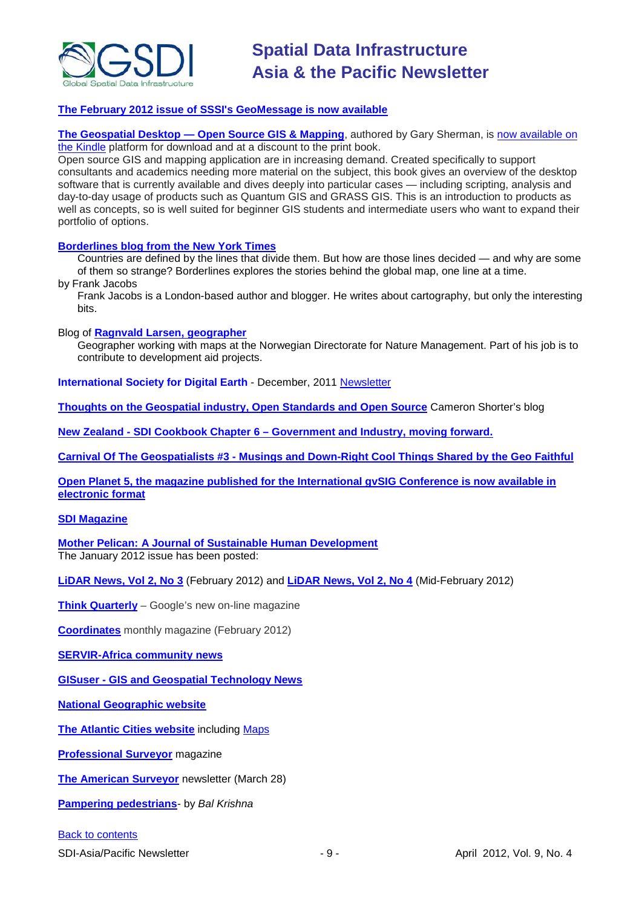

## **[The February 2012 issue of SSSI's GeoMessage is now available](http://www.sssi.org.au/userfiles/docs/SSSI%20Geo%20Message/documents_13282331871656024358.html)**

**The Geospatial Desktop — [Open Source GIS & Mapping](http://click.email.multibriefs.com/?qs=9dc246185d07d7cacf9132e1e9bbac030768a3c98a33445577a5ec707f374a63e016a3b520df0cef)**, authored by Gary Sherman, is now available on [the Kindle](http://click.email.multibriefs.com/?qs=9dc246185d07d7caf878177b7addea0079d6f05aed8e5ced59453cda23adf2ae92ec8ef684b52663) platform for download and at a discount to the print book.

Open source GIS and mapping application are in increasing demand. Created specifically to support consultants and academics needing more material on the subject, this book gives an overview of the desktop software that is currently available and dives deeply into particular cases — including scripting, analysis and day-to-day usage of products such as Quantum GIS and GRASS GIS. This is an introduction to products as well as concepts, so is well suited for beginner GIS students and intermediate users who want to expand their portfolio of options.

#### **[Borderlines blog from the New York Times](http://opinionator.blogs.nytimes.com/category/borderlines/)**

Countries are defined by the lines that divide them. But how are those lines decided — and why are some of them so strange? Borderlines explores the stories behind the global map, one line at a time. by Frank Jacobs

Frank Jacobs is a London-based author and blogger. He writes about cartography, but only the interesting bits.

#### Blog of **[Ragnvald Larsen, geographer](http://www.mindland.com/wp/)**

Geographer working with maps at the Norwegian Directorate for Nature Management. Part of his job is to contribute to development aid projects.

**International Society for Digital Earth** - December, 2011 [Newsletter](http://www.digitalearth-isde.org/news/ISDE-Newsletter.html)

**[Thoughts on the Geospatial industry, Open Standards and Open Source](http://cameronshorter.blogspot.com/2011/06/memoirs-of-cat-herder-coordinating.html)** Cameron Shorter's blog

**New Zealand - SDI Cookbook Chapter 6 – [Government and Industry, moving forward.](http://www.geospatial.govt.nz/sdi-cookbook-chapter-6-government-and-industry-moving-forward)**

**Carnival Of The Geospatialists #3 - [Musings and Down-Right Cool Things Shared by the Geo Faithful](http://www.gisuser.com/content/view/25690/28/)**

**[Open Planet 5, the magazine published for the International gvSIG Conference is now available in](http://jornadas.gvsig.org/descargas/magazine)  [electronic format](http://jornadas.gvsig.org/descargas/magazine)**

#### **[SDI Magazine](http://www.sdimag.com/)**

**[Mother Pelican: A Journal of Sustainable Human Development](http://www.pelicanweb.org/solisustv08n01page1.html)** The January 2012 issue has been posted:

**LiDAR News, Vol 2, No 3** (February 2012) and **[LiDAR News, Vol 2, No 4](http://www.lidarnews.com/newsletter/Vol2No4.htm)** (Mid-February 2012)

**[Think Quarterly](http://thinkquarterly.co.uk/#aboutthebook)** – Google's new on-line magazine

**[Coordinates](http://mycoordinates.org/pdf/feb12.pdf)** monthly magazine (February 2012)

**[SERVIR-Africa community news](http://www.servirglobal.net/africa/en/News/CommunityNews.aspx)**

**GISuser - [GIS and Geospatial Technology News](http://www.gisuser.com/)**

**[National Geographic website](http://www.nationalgeographic.com/)**

**[The Atlantic Cities website](http://www.theatlanticcities.com/)** including [Maps](http://www.theatlanticcities.com/posts/map/)

**[Professional Surveyor](http://www.profsurv.com/)** magazine

**[The American Surveyor](http://www.amerisurv.com/newsletter/28MAR2012.htm)** newsletter (March 28)

**[Pampering pedestrians](http://mycoordinates.org/pampering-pedestrians/)***-* by *Bal Krishna*

#### [Back to contents](#page-0-0)

SDI-Asia/Pacific Newsletter  $-9 -$  - 9 - April 2012, Vol. 9, No. 4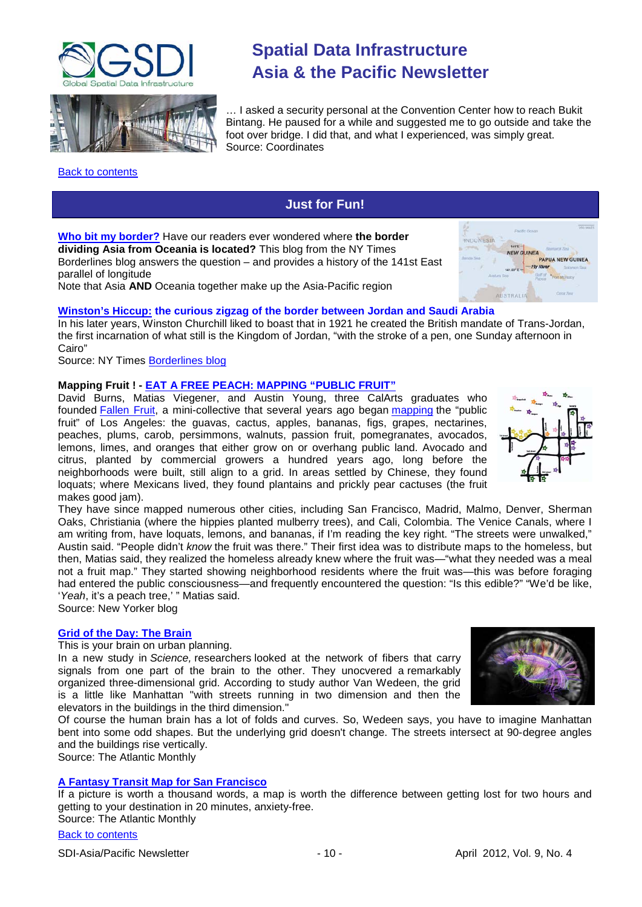



# <span id="page-9-0"></span>[Back to contents](#page-0-0)

# **Spatial Data Infrastructure Asia & the Pacific Newsletter**

… I asked a security personal at the Convention Center how to reach Bukit Bintang. He paused for a while and suggested me to go outside and take the foot over bridge. I did that, and what I experienced, was simply great. Source: Coordinates

**[Who bit my border?](http://opinionator.blogs.nytimes.com/2012/03/13/who-bit-my-border/)** Have our readers ever wondered where **the border dividing Asia from Oceania is located?** This blog from the NY Times Borderlines blog answers the question – and provides a history of the 141st East

parallel of longitude Note that Asia **AND** Oceania together make up the Asia-Pacific region



# **[Winston's Hiccup:](http://opinionator.blogs.nytimes.com/2012/03/06/winstons-hiccup/?scp=1&sq=borderlines&st=cse) the curious zigzag of the border between Jordan and Saudi Arabia**

In his later years, Winston Churchill liked to boast that in 1921 he created the British mandate of Trans-Jordan, the first incarnation of what still is the Kingdom of Jordan, "with the stroke of a pen, one Sunday afternoon in Cairo"

**Just for Fun!**

Source: NY Times [Borderlines blog](http://opinionator.blogs.nytimes.com/category/borderlines/)

# **Mapping Fruit ! - [EAT A FREE PEACH: MAPPING "PUBLIC FRUIT"](http://www.newyorker.com/online/blogs/culture/2012/03/mapping-public-fruit.)**

David Burns, Matias Viegener, and Austin Young, three CalArts graduates who founded [Fallen Fruit,](http://www.fallenfruit.org/) a mini-collective that several years ago began [mapping](http://www.fallenfruit.org/index.php/media/maps/) the "public fruit" of Los Angeles: the guavas, cactus, apples, bananas, figs, grapes, nectarines, peaches, plums, carob, persimmons, walnuts, passion fruit, pomegranates, avocados, lemons, limes, and oranges that either grow on or overhang public land. Avocado and citrus, planted by commercial growers a hundred years ago, long before the neighborhoods were built, still align to a grid. In areas settled by Chinese, they found loquats; where Mexicans lived, they found plantains and prickly pear cactuses (the fruit makes good jam).

They have since mapped numerous other cities, including San Francisco, Madrid, Malmo, Denver, Sherman Oaks, Christiania (where the hippies planted mulberry trees), and Cali, Colombia. The Venice Canals, where I am writing from, have loquats, lemons, and bananas, if I'm reading the key right. "The streets were unwalked," Austin said. "People didn't *know* the fruit was there." Their first idea was to distribute maps to the homeless, but then, Matias said, they realized the homeless already knew where the fruit was—"what they needed was a meal not a fruit map." They started showing neighborhood residents where the fruit was—this was before foraging had entered the public consciousness—and frequently encountered the question: "Is this edible?" "We'd be like, '*Yeah*, it's a peach tree,' " Matias said.

Source: New Yorker blog

#### **Grid of the Day: The Brain**

This is your brain on urban planning.

In a new study in *Science,* researchers looked at the network of fibers that carry signals from one part of the brain to the other. They unocvered a remarkably organized three-dimensional grid. According to study author Van Wedeen, the grid is a little like Manhattan "with streets running in two dimension and then the elevators in the buildings in the third dimension."

Of course the human brain has a lot of folds and curves. So, Wedeen says, you have to imagine Manhattan bent into some odd shapes. But the underlying grid doesn't change. The streets intersect at 90-degree angles and the buildings rise vertically.

Source: The Atlantic Monthly

# **A Fantasy Transit Map for San Francisco**

If a picture is worth a thousand words, a map is worth the difference between getting lost for two hours and getting to your destination in 20 minutes, anxiety-free.

Source: The Atlantic Monthly



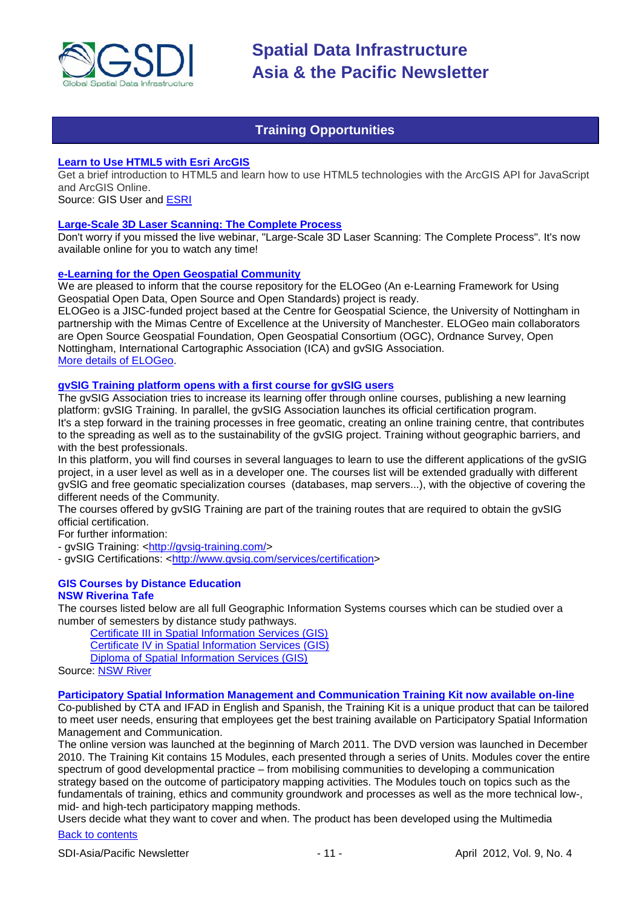

# **Training Opportunities**

#### <span id="page-10-0"></span>**[Learn to Use HTML5 with Esri ArcGIS](http://www.gisuser.com/content/view/25915/2/)**

Get a brief introduction to HTML5 and learn how to use HTML5 technologies with the ArcGIS API for JavaScript and ArcGIS Online.

Source: GIS User and [ESRI](http://training.esri.com/Gateway/index.cfm?fa=seminars.gateway)

#### **[Large-Scale 3D Laser Scanning: The Complete Process](http://www.faro.com/site/resources/details/1373?CampaignId=70170000000bbwr)**

Don't worry if you missed the live webinar, "Large-Scale 3D Laser Scanning: The Complete Process". It's now available online for you to watch any time!

#### **[e-Learning for the Open Geospatial Community](http://elogeo.nottingham.ac.uk/xmlui)**

We are pleased to inform that the course repository for the ELOGeo (An e-Learning Framework for Using Geospatial Open Data, Open Source and Open Standards) project is ready.

ELOGeo is a JISC-funded project based at the Centre for Geospatial Science, the University of Nottingham in partnership with the Mimas Centre of Excellence at the University of Manchester. ELOGeo main collaborators are Open Source Geospatial Foundation, Open Geospatial Consortium (OGC), Ordnance Survey, Open Nottingham, International Cartographic Association (ICA) and gvSIG Association. [More details of ELOGeo.](http://elogeo.nottingham.ac.uk/index.html)

# **gvSIG Training platform opens with a first course for gvSIG users**

The gvSIG Association tries to increase its learning offer through online courses, publishing a new learning platform: gvSIG Training. In parallel, the gvSIG Association launches its official certification program. It's a step forward in the training processes in free geomatic, creating an online training centre, that contributes to the spreading as well as to the sustainability of the gvSIG project. Training without geographic barriers, and with the best professionals.

In this platform, you will find courses in several languages to learn to use the different applications of the gvSIG project, in a user level as well as in a developer one. The courses list will be extended gradually with different gvSIG and free geomatic specialization courses (databases, map servers...), with the objective of covering the different needs of the Community.

The courses offered by gvSIG Training are part of the training routes that are required to obtain the gvSIG official certification.

For further information:

- gvSIG Training: [<http://gvsig-training.com/>](http://gvsig-training.com/)

- gvSIG Certifications: [<http://www.gvsig.com/services/certification>](http://www.gvsig.com/services/certification)

#### **GIS Courses by Distance Education NSW Riverina Tafe**

The courses listed below are all full Geographic Information Systems courses which can be studied over a number of semesters by distance study pathways.

[Certificate III in Spatial Information Services \(GIS\)](http://www.rit.tafensw.edu.au/nec/nrme/giscourses#Cert III in Spatial Information Services (CPP30109))

[Certificate IV in Spatial Information Services \(GIS\)](http://www.rit.tafensw.edu.au/nec/nrme/giscourses#Cert IV in Spatial Information Services (CPP40209))

[Diploma of Spatial Information Services \(GIS\)](http://www.rit.tafensw.edu.au/nec/nrme/giscourses#Diploma of Spatial Information Services (CPP50207))

Sourc[e: NSW River](http://www.rit.tafensw.edu.au/nec/nrme/giscourses)

#### **[Participatory Spatial Information Management and Communication Training Kit now available on-line](http://www.cta.int/en/About-us/CTA-news/Participatory-Spatial-Information-Management-and-Communication-Training-Kit-now-available-on-line)**

Co-published by CTA and IFAD in English and Spanish, the Training Kit is a unique product that can be tailored to meet user needs, ensuring that employees get the best training available on Participatory Spatial Information Management and Communication.

The [online version](http://pgis-tk.cta.int/) was launched at the beginning of March 2011. The DVD version was launched in December 2010. The Training Kit contains 15 Modules, each presented through a series of Units. Modules cover the entire spectrum of good developmental practice – from mobilising communities to developing a communication strategy based on the outcome of participatory mapping activities. The Modules touch on topics such as the fundamentals of training, ethics and community groundwork and processes as well as the more technical low-, mid- and high-tech participatory mapping methods.

[Back to contents](#page-0-0) Users decide what they want to cover and when. The product has been developed using the Multimedia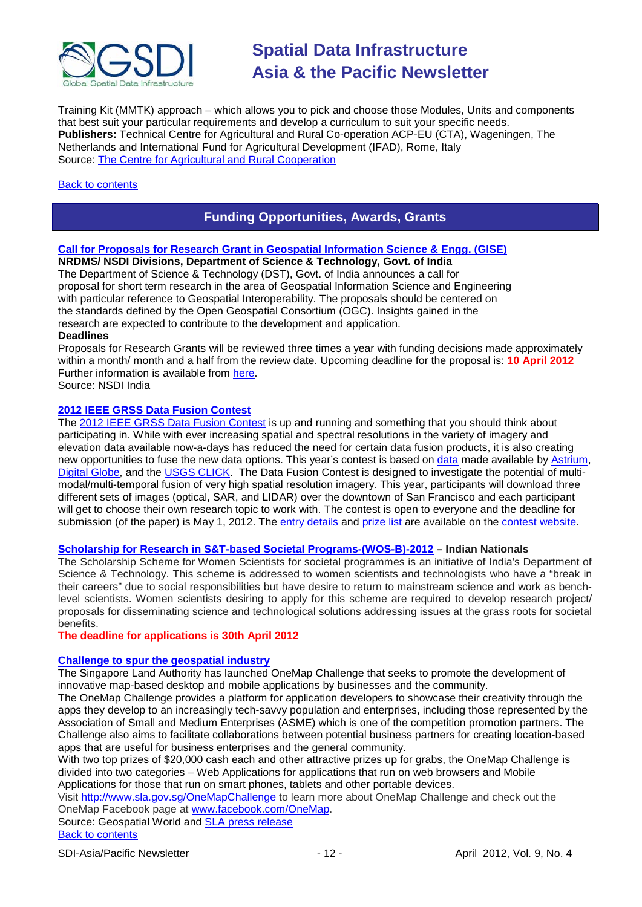

Training Kit (MMTK) approach – which allows you to pick and choose those Modules, Units and components that best suit your particular requirements and develop a curriculum to suit your specific needs. **Publishers:** Technical Centre for Agricultural and Rural Co-operation ACP-EU (CTA), Wageningen, The Netherlands and International Fund for Agricultural Development (IFAD), Rome, Italy Source: [The Centre for Agricultural and Rural Cooperation](http://www.cta.int/en/About-us/Who-we-are)

### <span id="page-11-0"></span>[Back to contents](#page-0-0)

# **Funding Opportunities, Awards, Grants**

# **[Call for Proposals for Research Grant in Geospatial Information Science & Engg. \(GISE\)](http://nsdiindia.gov.in/nsdi/nsdiportal/meetings/GISECallForProposalMar2012.pdf)**

**NRDMS/ NSDI Divisions, Department of Science & Technology, Govt. of India** The Department of Science & Technology (DST), Govt. of India announces a call for proposal for short term research in the area of Geospatial Information Science and Engineering with particular reference to Geospatial Interoperability. The proposals should be centered on the standards defined by the Open Geospatial Consortium (OGC). Insights gained in the research are expected to contribute to the development and application.

#### **Deadlines**

Proposals for Research Grants will be reviewed three times a year with funding decisions made approximately within a month/ month and a half from the review date. Upcoming deadline for the proposal is: **10 April 2012** Further information is available from [here.](http://nsdiindia.gov.in/nsdi/nsdiportal/meetings/GISECallForProposalMar2012.pdf)

Source: NSDI India

#### **[2012 IEEE GRSS Data Fusion Contest](http://www.digitalglobe.com/data-fusion-contest)**

The [2012 IEEE GRSS Data Fusion Contest](http://www.digitalglobe.com/data-fusion-contest) is up and running and something that you should think about participating in. While with ever increasing spatial and spectral resolutions in the variety of imagery and elevation data available now-a-days has reduced the need for certain data fusion products, it is also creating new opportunities to fuse the new data options. This year's contest is based on [data](http://www.digitalglobe.com/data-fusion-contest#/data-specifications) made available by [Astrium,](http://www.astrium-geo.com/na/) [Digital Globe,](http://www.digitalglobe.com/) and the [USGS CLICK.](http://lidar.cr.usgs.gov/) The Data Fusion Contest is designed to investigate the potential of multimodal/multi-temporal fusion of very high spatial resolution imagery. This year, participants will download three different sets of images (optical, SAR, and LIDAR) over the downtown of San Francisco and each participant will get to choose their own research topic to work with. The contest is open to everyone and the deadline for submission (of the paper) is May 1, 2012. The [entry details](http://www.digitalglobe.com/data-fusion-contest#/how-to-enter) and [prize list](http://www.digitalglobe.com/data-fusion-contest#/results-and-prizes) are available on the [contest website.](http://www.grss-ieee.org/community/technical-committees/data-fusion/data-fusion-contest/)

# **[Scholarship for Research in S&T-based Societal Programs-\(WOS-B\)-2012](http://www.dst.gov.in/whats_new/whats_new12/WOS-B-2012.PDF) – Indian Nationals**

The Scholarship Scheme for Women Scientists for societal programmes is an initiative of India's Department of Science & Technology. This scheme is addressed to women scientists and technologists who have a "break in their careers" due to social responsibilities but have desire to return to mainstream science and work as benchlevel scientists. Women scientists desiring to apply for this scheme are required to develop research project/ proposals for disseminating science and technological solutions addressing issues at the grass roots for societal benefits.

### **The deadline for applications is 30th April 2012**

#### **[Challenge to spur the geospatial industry](http://geospatialworld.net/index.php?option=com_content&view=article&id=23850:challenge-to-spur-the-geospatial-industry&catid=75:miscellaneous-events)**

The Singapore Land Authority has launched OneMap Challenge that seeks to promote the development of innovative map-based desktop and mobile applications by businesses and the community.

The OneMap Challenge provides a platform for application developers to showcase their creativity through the apps they develop to an increasingly tech-savvy population and enterprises, including those represented by the Association of Small and Medium Enterprises (ASME) which is one of the competition promotion partners. The Challenge also aims to facilitate collaborations between potential business partners for creating location-based apps that are useful for business enterprises and the general community.

With two top prizes of \$20,000 cash each and other attractive prizes up for grabs, the OneMap Challenge is divided into two categories – Web Applications for applications that run on web browsers and Mobile Applications for those that run on smart phones, tablets and other portable devices.

Visit <http://www.sla.gov.sg/OneMapChallenge> to learn more about OneMap Challenge and check out the OneMap Facebook page at [www.facebook.com/OneMap.](http://www.facebook.com/OneMap)

Source: Geospatial World and [SLA press release](http://www.sla.gov.sg/htm/new/new2012/new0401.htm)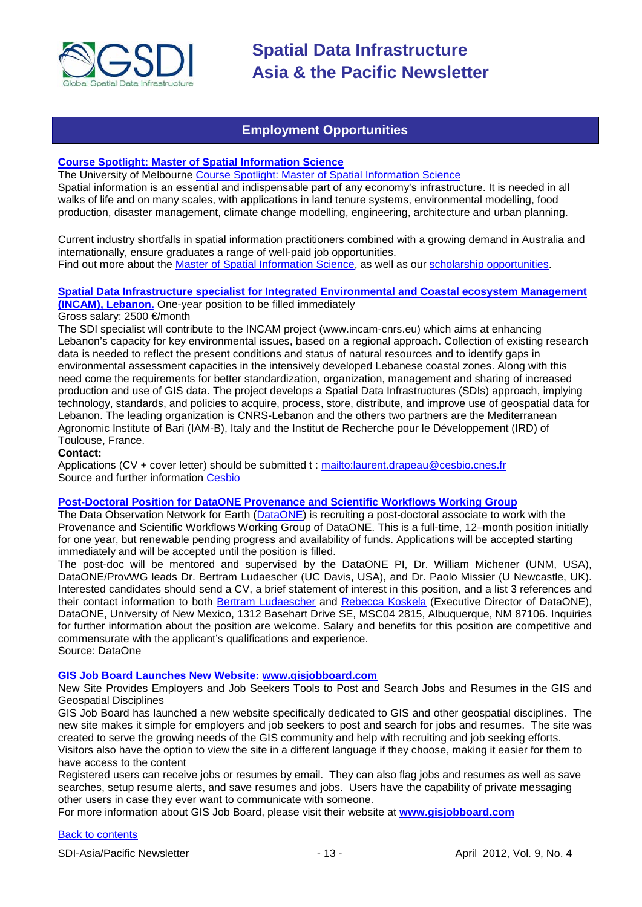

# **Employment Opportunities**

#### <span id="page-12-0"></span>**[Course Spotlight: Master of Spatial Information Science](http://themelbourneengineer.eng.unimelb.edu.au/2012/02/course-spotlight-master-of-spatial-information-science/)**

The University of Melbourne [Course Spotlight: Master of Spatial Information Science](http://themelbourneengineer.eng.unimelb.edu.au/2012/02/course-spotlight-master-of-spatial-information-science/) Spatial information is an essential and indispensable part of any economy's infrastructure. It is needed in all walks of life and on many scales, with applications in land tenure systems, environmental modelling, food production, disaster management, climate change modelling, engineering, architecture and urban planning.

Current industry shortfalls in spatial information practitioners combined with a growing demand in Australia and internationally, ensure graduates a range of well-paid job opportunities. Find out more about the [Master of Spatial Information Science,](http://www.msi.unimelb.edu.au/study/graduate/master-of-spatial-information-science/) as well as our [scholarship opportunities.](http://www.eng.unimelb.edu.au/study/graduate/scholarships.html)

**[Spatial Data Infrastructure specialist for Integrated Environmental and Coastal ecosystem Management](http://www.cesbio.ups-tlse.fr/fr/temporaire/ProfilIncam.pdf) [\(INCAM\), Lebanon.](http://www.cesbio.ups-tlse.fr/fr/temporaire/ProfilIncam.pdf)** One-year position to be filled immediately

Gross salary: 2500 €/month

The SDI specialist will contribute to the INCAM project (www.incam-cnrs.eu) which aims at enhancing Lebanon's capacity for key environmental issues, based on a regional approach. Collection of existing research data is needed to reflect the present conditions and status of natural resources and to identify gaps in environmental assessment capacities in the intensively developed Lebanese coastal zones. Along with this need come the requirements for better standardization, organization, management and sharing of increased production and use of GIS data. The project develops a Spatial Data Infrastructures (SDIs) approach, implying technology, standards, and policies to acquire, process, store, distribute, and improve use of geospatial data for Lebanon. The leading organization is CNRS-Lebanon and the others two partners are the Mediterranean Agronomic Institute of Bari (IAM-B), Italy and the Institut de Recherche pour le Développement (IRD) of Toulouse, France.

**Contact:** 

Applications (CV + cover letter) should be submitted t :<mailto:laurent.drapeau@cesbio.cnes.fr> Source and further information [Cesbio](http://www.cesbio.ups-tlse.fr/fr/temporaire/ProfilIncam.pdf)

# **[Post-Doctoral Position for DataONE Provenance and](https://www.dataone.org/content/post-doctoral-position-dataone-provenance-and-scientific-workflows-working-group) Scientific Workflows Working Group**

The Data Observation Network for Earth [\(DataONE\)](http://dataone.org/) is recruiting a post-doctoral associate to work with the Provenance and Scientific Workflows Working Group of DataONE. This is a full-time, 12–month position initially for one year, but renewable pending progress and availability of funds. Applications will be accepted starting immediately and will be accepted until the position is filled.

The post-doc will be mentored and supervised by the DataONE PI, Dr. William Michener (UNM, USA), DataONE/ProvWG leads Dr. Bertram Ludaescher (UC Davis, USA), and Dr. Paolo Missier (U Newcastle, UK). Interested candidates should send a CV, a brief statement of interest in this position, and a list 3 references and their contact information to both [Bertram Ludaescher](mailto:ludaesch@ucdavis.edu) and [Rebecca Koskela](mailto:rkoskela@unm.edu) (Executive Director of DataONE), DataONE, University of New Mexico, 1312 Basehart Drive SE, MSC04 2815, Albuquerque, NM 87106. Inquiries for further information about the position are welcome. Salary and benefits for this position are competitive and commensurate with the applicant's qualifications and experience. Source: DataOne

#### **GIS Job Board Launches New Website: [www.gisjobboard.com](http://www.gisjobboard.com/)**

New Site Provides Employers and Job Seekers Tools to Post and Search Jobs and Resumes in the GIS and Geospatial Disciplines

GIS Job Board has launched a new website specifically dedicated to GIS and other geospatial disciplines. The new site makes it simple for employers and job seekers to post and search for jobs and resumes. The site was created to serve the growing needs of the GIS community and help with recruiting and job seeking efforts. Visitors also have the option to view the site in a different language if they choose, making it easier for them to have access to the content

Registered users can receive jobs or resumes by email. They can also flag jobs and resumes as well as save searches, setup resume alerts, and save resumes and jobs. Users have the capability of private messaging other users in case they ever want to communicate with someone.

For more information about GIS Job Board, please visit their website at **[www.gisjobboard.com](http://www.gisjobboard.com/)**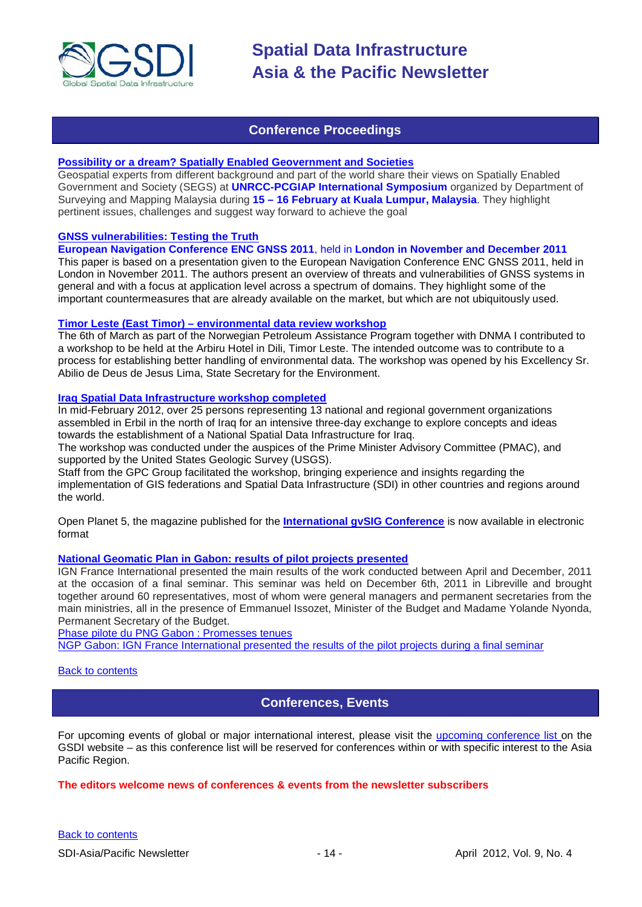

# **Conference Proceedings**

# <span id="page-13-0"></span>**[Possibility or a dream? Spatially Enabled Geovernment and Societies](http://mycoordinates.org/possibility-or-a-dream-spatially-enabled-geovernment-and-societies-2/)**

Geospatial experts from different background and part of the world share their views on Spatially Enabled Government and Society (SEGS) at **UNRCC-PCGIAP International Symposium** organized by Department of Surveying and Mapping Malaysia during **15 – 16 February at Kuala Lumpur, Malaysia**. They highlight pertinent issues, challenges and suggest way forward to achieve the goal

# **[GNSS vulnerabilities: Testing the Truth](http://mycoordinates.org/gnss-vulnerabilities-testing-the-truth/)**

# **European Navigation Conference ENC GNSS 2011**, held in **London in November and December 2011**

This paper is based on a presentation given to the European Navigation Conference ENC GNSS 2011, held in London in November 2011. The authors present an overview of threats and vulnerabilities of GNSS systems in general and with a focus at application level across a spectrum of domains. They highlight some of the important countermeasures that are already available on the market, but which are not ubiquitously used.

#### **Timor Leste (East Timor) – [environmental data review workshop](http://www.mindland.com/wp/?p=125)**

The 6th of March as part of the Norwegian Petroleum Assistance Program together with DNMA I contributed to a workshop to be held at the Arbiru Hotel in Dili, Timor Leste. The intended outcome was to contribute to a process for establishing better handling of environmental data. The workshop was opened by his Excellency Sr. Abilio de Deus de Jesus Lima, State Secretary for the Environment.

#### **[Iraq Spatial Data Infrastructure workshop completed](http://www.ameinfo.com/290564.html)**

In mid-February 2012, over 25 persons representing 13 national and regional government organizations assembled in Erbil in the north of Iraq for an intensive three-day exchange to explore concepts and ideas towards the establishment of a National Spatial Data Infrastructure for Iraq.

The workshop was conducted under the auspices of the Prime Minister Advisory Committee (PMAC), and supported by the United States Geologic Survey (USGS).

Staff from the GPC Group facilitated the workshop, bringing experience and insights regarding the implementation of GIS federations and Spatial Data Infrastructure (SDI) in other countries and regions around the world.

[Open Planet 5, the magazine published for the](http://jornadas.gvsig.org/descargas/magazine) **International gvSIG Conference** is now available in electronic [format](http://jornadas.gvsig.org/descargas/magazine)

# **[National Geomatic Plan in Gabon: results of pilot projects presented](http://www.ignfi.fr/en/content/pilot-phase-ngp-gabon-expectations-were-met)**

IGN France International presented the main results of the work conducted between April and December, 2011 at the occasion of a final seminar. This seminar was held on December 6th, 2011 in Libreville and brought together around 60 representatives, most of whom were general managers and permanent secretaries from the main ministries, all in the presence of Emmanuel Issozet, Minister of the Budget and Madame Yolande Nyonda, Permanent Secretary of the Budget.

[Phase pilote du PNG Gabon : Promesses tenues](http://www.ignfi.fr/fr/content/phase-pilote-du-png-gabon-promesses-tenues) [NGP Gabon: IGN France International presented the results of the pilot projects during a final seminar](http://www.ignfi.fr/en/content/ngp-gabon-ign-france-international-presented-results-pilot-projects-during-final-seminar)

#### <span id="page-13-1"></span>[Back to contents](#page-0-0)

# **Conferences, Events**

For upcoming events of global or major international interest, please visit the [upcoming conference list o](http://gsdi.org/events/upcnf.asp)n the GSDI website – as this conference list will be reserved for conferences within or with specific interest to the Asia Pacific Region.

# **The editors welcome news of conferences & events from the newsletter subscribers**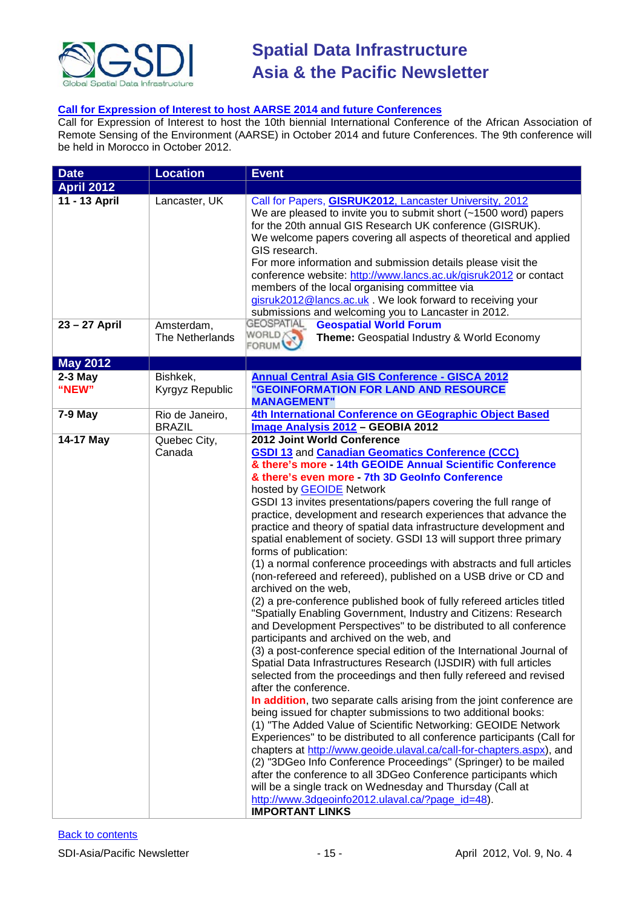

# **[Call for Expression of Interest to host AARSE 2014 and future](http://lists.gsdi.org/pipermail/sdi-africa/2010-November/001135.html) Conferences**

Call for Expression of Interest to host the 10th biennial International Conference of the African Association of Remote Sensing of the Environment (AARSE) in October 2014 and future Conferences. The 9th conference will be held in Morocco in October 2012.

| <b>Date</b>        | <b>Location</b>                      | <b>Event</b>                                                                                                                                                                                                                                                                                                                                                                                                                                                                                                                                                                                                                                                                                                                                                                                                                                                                                                                                                                                                                                                                                                                                                                                                                                                                                                                                                                                                                                                                                                                                                                                                                                                                                                                                                                                                                                                                   |
|--------------------|--------------------------------------|--------------------------------------------------------------------------------------------------------------------------------------------------------------------------------------------------------------------------------------------------------------------------------------------------------------------------------------------------------------------------------------------------------------------------------------------------------------------------------------------------------------------------------------------------------------------------------------------------------------------------------------------------------------------------------------------------------------------------------------------------------------------------------------------------------------------------------------------------------------------------------------------------------------------------------------------------------------------------------------------------------------------------------------------------------------------------------------------------------------------------------------------------------------------------------------------------------------------------------------------------------------------------------------------------------------------------------------------------------------------------------------------------------------------------------------------------------------------------------------------------------------------------------------------------------------------------------------------------------------------------------------------------------------------------------------------------------------------------------------------------------------------------------------------------------------------------------------------------------------------------------|
| <b>April 2012</b>  |                                      |                                                                                                                                                                                                                                                                                                                                                                                                                                                                                                                                                                                                                                                                                                                                                                                                                                                                                                                                                                                                                                                                                                                                                                                                                                                                                                                                                                                                                                                                                                                                                                                                                                                                                                                                                                                                                                                                                |
| 11 - 13 April      | Lancaster, UK                        | Call for Papers, <b>GISRUK2012</b> , Lancaster University, 2012<br>We are pleased to invite you to submit short (~1500 word) papers<br>for the 20th annual GIS Research UK conference (GISRUK).<br>We welcome papers covering all aspects of theoretical and applied<br>GIS research.<br>For more information and submission details please visit the<br>conference website: http://www.lancs.ac.uk/gisruk2012 or contact<br>members of the local organising committee via<br>gisruk2012@lancs.ac.uk . We look forward to receiving your<br>submissions and welcoming you to Lancaster in 2012.                                                                                                                                                                                                                                                                                                                                                                                                                                                                                                                                                                                                                                                                                                                                                                                                                                                                                                                                                                                                                                                                                                                                                                                                                                                                                |
| 23 - 27 April      | Amsterdam,<br><b>The Netherlands</b> | <b>GEOSPATIAL</b><br><b>Geospatial World Forum</b><br>WORLD?<br>Theme: Geospatial Industry & World Economy<br><b>FORUM</b>                                                                                                                                                                                                                                                                                                                                                                                                                                                                                                                                                                                                                                                                                                                                                                                                                                                                                                                                                                                                                                                                                                                                                                                                                                                                                                                                                                                                                                                                                                                                                                                                                                                                                                                                                     |
| <b>May 2012</b>    |                                      |                                                                                                                                                                                                                                                                                                                                                                                                                                                                                                                                                                                                                                                                                                                                                                                                                                                                                                                                                                                                                                                                                                                                                                                                                                                                                                                                                                                                                                                                                                                                                                                                                                                                                                                                                                                                                                                                                |
| $2-3$ May<br>"NEW" | Bishkek,<br>Kyrgyz Republic          | <b>Annual Central Asia GIS Conference - GISCA 2012</b><br><b>GEOINFORMATION FOR LAND AND RESOURCE</b><br><b>MANAGEMENT"</b>                                                                                                                                                                                                                                                                                                                                                                                                                                                                                                                                                                                                                                                                                                                                                                                                                                                                                                                                                                                                                                                                                                                                                                                                                                                                                                                                                                                                                                                                                                                                                                                                                                                                                                                                                    |
| 7-9 May            | Rio de Janeiro,<br><b>BRAZIL</b>     | 4th International Conference on GEographic Object Based<br>Image Analysis 2012 - GEOBIA 2012                                                                                                                                                                                                                                                                                                                                                                                                                                                                                                                                                                                                                                                                                                                                                                                                                                                                                                                                                                                                                                                                                                                                                                                                                                                                                                                                                                                                                                                                                                                                                                                                                                                                                                                                                                                   |
| 14-17 May          | Quebec City,<br>Canada               | 2012 Joint World Conference<br><b>GSDI 13 and Canadian Geomatics Conference (CCC)</b><br>& there's more - 14th GEOIDE Annual Scientific Conference<br>& there's even more - 7th 3D GeoInfo Conference<br>hosted by <b>GEOIDE</b> Network<br>GSDI 13 invites presentations/papers covering the full range of<br>practice, development and research experiences that advance the<br>practice and theory of spatial data infrastructure development and<br>spatial enablement of society. GSDI 13 will support three primary<br>forms of publication:<br>(1) a normal conference proceedings with abstracts and full articles<br>(non-refereed and refereed), published on a USB drive or CD and<br>archived on the web,<br>(2) a pre-conference published book of fully refereed articles titled<br>"Spatially Enabling Government, Industry and Citizens: Research<br>and Development Perspectives" to be distributed to all conference<br>participants and archived on the web, and<br>(3) a post-conference special edition of the International Journal of<br>Spatial Data Infrastructures Research (IJSDIR) with full articles<br>selected from the proceedings and then fully refereed and revised<br>after the conference.<br>In addition, two separate calls arising from the joint conference are<br>being issued for chapter submissions to two additional books:<br>(1) "The Added Value of Scientific Networking: GEOIDE Network<br>Experiences" to be distributed to all conference participants (Call for<br>chapters at http://www.geoide.ulaval.ca/call-for-chapters.aspx), and<br>(2) "3DGeo Info Conference Proceedings" (Springer) to be mailed<br>after the conference to all 3DGeo Conference participants which<br>will be a single track on Wednesday and Thursday (Call at<br>http://www.3dgeoinfo2012.ulaval.ca/?page_id=48).<br><b>IMPORTANT LINKS</b> |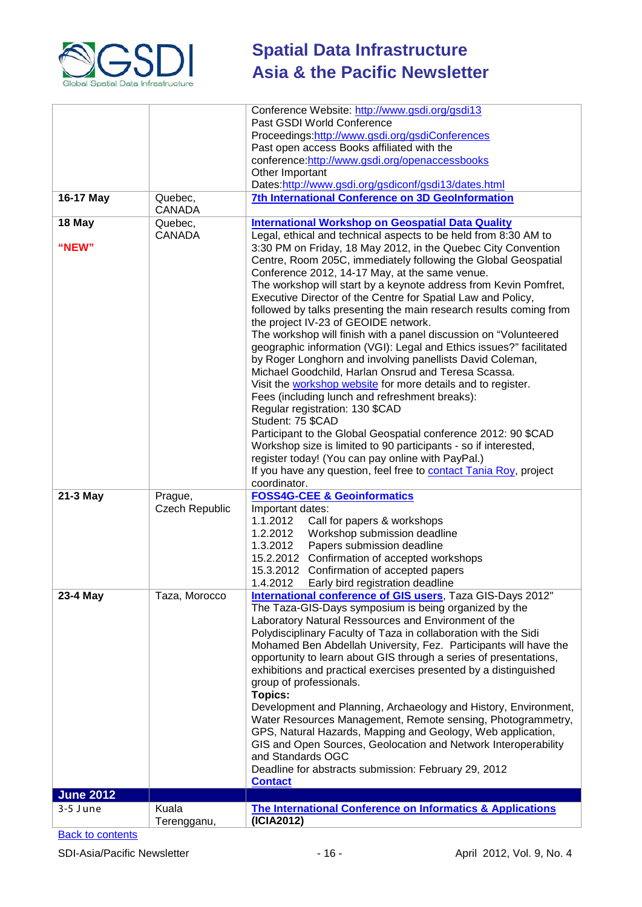

|                  |                | Conference Website: http://www.gsdi.org/gsdi13                                                                                   |
|------------------|----------------|----------------------------------------------------------------------------------------------------------------------------------|
|                  |                | Past GSDI World Conference                                                                                                       |
|                  |                | Proceedings:http://www.gsdi.org/gsdiConferences                                                                                  |
|                  |                | Past open access Books affiliated with the                                                                                       |
|                  |                | conference:http://www.gsdi.org/openaccessbooks                                                                                   |
|                  |                | Other Important<br>Dates:http://www.gsdi.org/gsdiconf/gsdi13/dates.html                                                          |
| 16-17 May        | Quebec,        | 7th International Conference on 3D GeoInformation                                                                                |
|                  | <b>CANADA</b>  |                                                                                                                                  |
| 18 May           | Quebec,        | <b>International Workshop on Geospatial Data Quality</b>                                                                         |
|                  | <b>CANADA</b>  | Legal, ethical and technical aspects to be held from 8:30 AM to                                                                  |
| "NEW"            |                | 3:30 PM on Friday, 18 May 2012, in the Quebec City Convention                                                                    |
|                  |                | Centre, Room 205C, immediately following the Global Geospatial                                                                   |
|                  |                | Conference 2012, 14-17 May, at the same venue.                                                                                   |
|                  |                | The workshop will start by a keynote address from Kevin Pomfret,                                                                 |
|                  |                | Executive Director of the Centre for Spatial Law and Policy,                                                                     |
|                  |                | followed by talks presenting the main research results coming from                                                               |
|                  |                | the project IV-23 of GEOIDE network.                                                                                             |
|                  |                | The workshop will finish with a panel discussion on "Volunteered                                                                 |
|                  |                | geographic information (VGI): Legal and Ethics issues?" facilitated<br>by Roger Longhorn and involving panellists David Coleman, |
|                  |                | Michael Goodchild, Harlan Onsrud and Teresa Scassa.                                                                              |
|                  |                | Visit the workshop website for more details and to register.                                                                     |
|                  |                | Fees (including lunch and refreshment breaks):                                                                                   |
|                  |                | Regular registration: 130 \$CAD                                                                                                  |
|                  |                | Student: 75 \$CAD                                                                                                                |
|                  |                | Participant to the Global Geospatial conference 2012: 90 \$CAD                                                                   |
|                  |                | Workshop size is limited to 90 participants - so if interested,                                                                  |
|                  |                | register today! (You can pay online with PayPal.)                                                                                |
|                  |                | If you have any question, feel free to <b>contact Tania Roy</b> , project                                                        |
|                  |                | coordinator.                                                                                                                     |
| 21-3 May         | Prague,        | <b>FOSS4G-CEE &amp; Geoinformatics</b><br>Important dates:                                                                       |
|                  | Czech Republic | 1.1.2012<br>Call for papers & workshops                                                                                          |
|                  |                | Workshop submission deadline<br>1.2.2012                                                                                         |
|                  |                | Papers submission deadline<br>1.3.2012                                                                                           |
|                  |                | 15.2.2012 Confirmation of accepted workshops                                                                                     |
|                  |                | 15.3.2012 Confirmation of accepted papers                                                                                        |
|                  |                | 1.4.2012<br>Early bird registration deadline                                                                                     |
| 23-4 May         | Taza, Morocco  | International conference of GIS users, Taza GIS-Days 2012"                                                                       |
|                  |                | The Taza-GIS-Days symposium is being organized by the                                                                            |
|                  |                | Laboratory Natural Ressources and Environment of the                                                                             |
|                  |                | Polydisciplinary Faculty of Taza in collaboration with the Sidi                                                                  |
|                  |                | Mohamed Ben Abdellah University, Fez. Participants will have the                                                                 |
|                  |                | opportunity to learn about GIS through a series of presentations,                                                                |
|                  |                | exhibitions and practical exercises presented by a distinguished<br>group of professionals.                                      |
|                  |                | <b>Topics:</b>                                                                                                                   |
|                  |                | Development and Planning, Archaeology and History, Environment,                                                                  |
|                  |                | Water Resources Management, Remote sensing, Photogrammetry,                                                                      |
|                  |                | GPS, Natural Hazards, Mapping and Geology, Web application,                                                                      |
|                  |                | GIS and Open Sources, Geolocation and Network Interoperability                                                                   |
|                  |                | and Standards OGC                                                                                                                |
|                  |                | Deadline for abstracts submission: February 29, 2012                                                                             |
|                  |                | <b>Contact</b>                                                                                                                   |
| <b>June 2012</b> |                |                                                                                                                                  |
| 3-5 June         | Kuala          | The International Conference on Informatics & Applications                                                                       |
|                  | Terengganu,    | (ICIA2012)                                                                                                                       |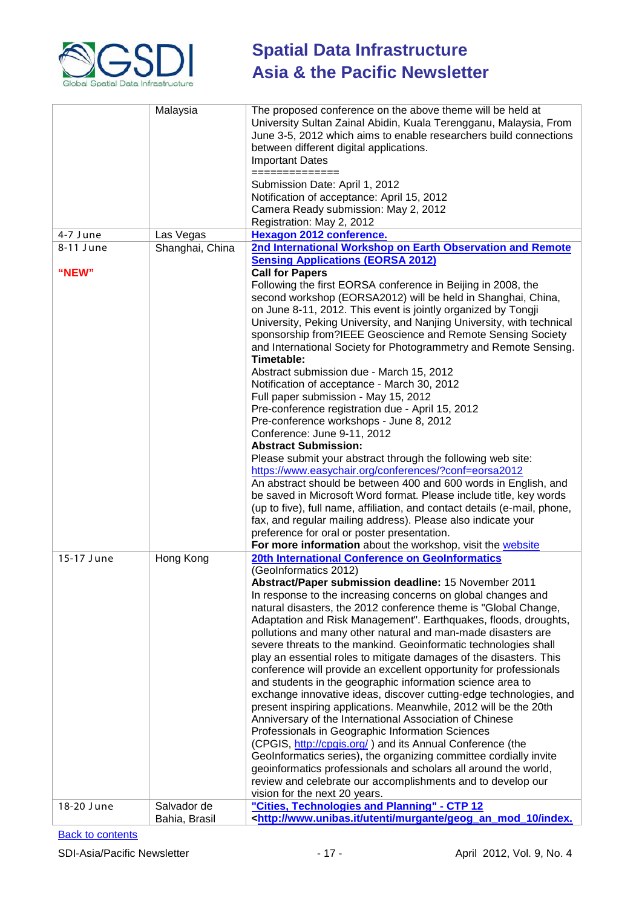

|            | Malaysia        | The proposed conference on the above theme will be held at<br>University Sultan Zainal Abidin, Kuala Terengganu, Malaysia, From<br>June 3-5, 2012 which aims to enable researchers build connections<br>between different digital applications.<br><b>Important Dates</b>                                                                                                                                                                                                                                                                                                                                                                                                                                                                                                                                                                                                                                                                                                                                                                                                                                                                                                                                             |
|------------|-----------------|-----------------------------------------------------------------------------------------------------------------------------------------------------------------------------------------------------------------------------------------------------------------------------------------------------------------------------------------------------------------------------------------------------------------------------------------------------------------------------------------------------------------------------------------------------------------------------------------------------------------------------------------------------------------------------------------------------------------------------------------------------------------------------------------------------------------------------------------------------------------------------------------------------------------------------------------------------------------------------------------------------------------------------------------------------------------------------------------------------------------------------------------------------------------------------------------------------------------------|
|            |                 | ==============<br>Submission Date: April 1, 2012<br>Notification of acceptance: April 15, 2012<br>Camera Ready submission: May 2, 2012<br>Registration: May 2, 2012                                                                                                                                                                                                                                                                                                                                                                                                                                                                                                                                                                                                                                                                                                                                                                                                                                                                                                                                                                                                                                                   |
| 4-7 June   | Las Vegas       | <b>Hexagon 2012 conference.</b>                                                                                                                                                                                                                                                                                                                                                                                                                                                                                                                                                                                                                                                                                                                                                                                                                                                                                                                                                                                                                                                                                                                                                                                       |
| 8-11 June  | Shanghai, China | 2nd International Workshop on Earth Observation and Remote                                                                                                                                                                                                                                                                                                                                                                                                                                                                                                                                                                                                                                                                                                                                                                                                                                                                                                                                                                                                                                                                                                                                                            |
|            |                 | <b>Sensing Applications (EORSA 2012)</b>                                                                                                                                                                                                                                                                                                                                                                                                                                                                                                                                                                                                                                                                                                                                                                                                                                                                                                                                                                                                                                                                                                                                                                              |
| "NEW"      |                 | <b>Call for Papers</b><br>Following the first EORSA conference in Beijing in 2008, the<br>second workshop (EORSA2012) will be held in Shanghai, China,<br>on June 8-11, 2012. This event is jointly organized by Tongji<br>University, Peking University, and Nanjing University, with technical<br>sponsorship from?IEEE Geoscience and Remote Sensing Society<br>and International Society for Photogrammetry and Remote Sensing.<br>Timetable:<br>Abstract submission due - March 15, 2012<br>Notification of acceptance - March 30, 2012<br>Full paper submission - May 15, 2012<br>Pre-conference registration due - April 15, 2012<br>Pre-conference workshops - June 8, 2012<br>Conference: June 9-11, 2012<br><b>Abstract Submission:</b><br>Please submit your abstract through the following web site:<br>https://www.easychair.org/conferences/?conf=eorsa2012<br>An abstract should be between 400 and 600 words in English, and<br>be saved in Microsoft Word format. Please include title, key words<br>(up to five), full name, affiliation, and contact details (e-mail, phone,<br>fax, and regular mailing address). Please also indicate your<br>preference for oral or poster presentation.        |
|            |                 | For more information about the workshop, visit the website                                                                                                                                                                                                                                                                                                                                                                                                                                                                                                                                                                                                                                                                                                                                                                                                                                                                                                                                                                                                                                                                                                                                                            |
| 15-17 June | Hong Kong       | 20th International Conference on GeoInformatics<br>(GeoInformatics 2012)                                                                                                                                                                                                                                                                                                                                                                                                                                                                                                                                                                                                                                                                                                                                                                                                                                                                                                                                                                                                                                                                                                                                              |
| 18-20 June | Salvador de     | Abstract/Paper submission deadline: 15 November 2011<br>In response to the increasing concerns on global changes and<br>natural disasters, the 2012 conference theme is "Global Change,<br>Adaptation and Risk Management". Earthquakes, floods, droughts,<br>pollutions and many other natural and man-made disasters are<br>severe threats to the mankind. Geoinformatic technologies shall<br>play an essential roles to mitigate damages of the disasters. This<br>conference will provide an excellent opportunity for professionals<br>and students in the geographic information science area to<br>exchange innovative ideas, discover cutting-edge technologies, and<br>present inspiring applications. Meanwhile, 2012 will be the 20th<br>Anniversary of the International Association of Chinese<br>Professionals in Geographic Information Sciences<br>(CPGIS, http://cpgis.org/) and its Annual Conference (the<br>GeoInformatics series), the organizing committee cordially invite<br>geoinformatics professionals and scholars all around the world,<br>review and celebrate our accomplishments and to develop our<br>vision for the next 20 years.<br>"Cities, Technologies and Planning" - CTP 12 |
|            | Bahia, Brasil   | <http: geog_an_mod_10="" index.<="" murgante="" td="" utenti="" www.unibas.it=""></http:>                                                                                                                                                                                                                                                                                                                                                                                                                                                                                                                                                                                                                                                                                                                                                                                                                                                                                                                                                                                                                                                                                                                             |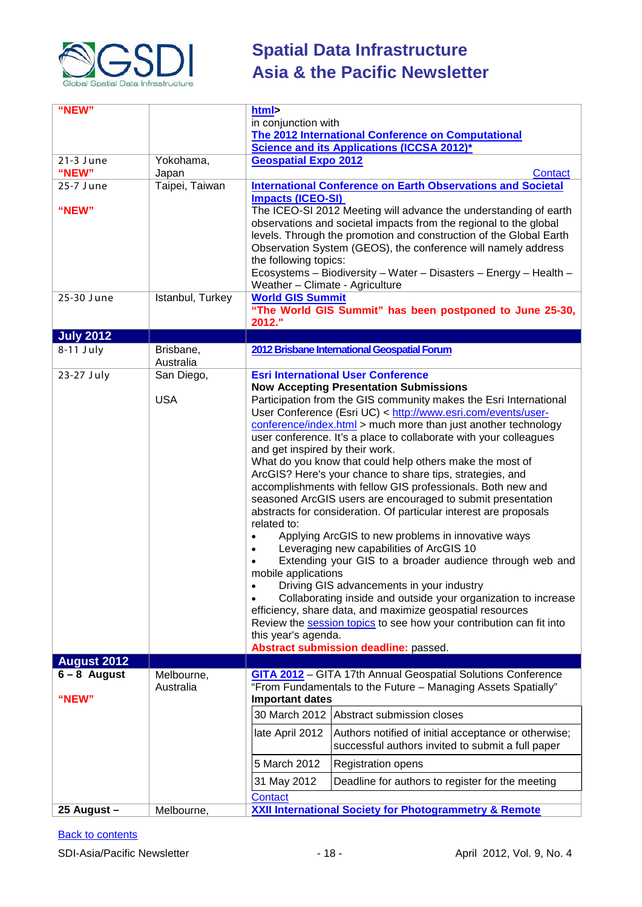

| "NEW"              |                        | html>                                                                                                                            |                                                                                                                                                                                                                                                                              |
|--------------------|------------------------|----------------------------------------------------------------------------------------------------------------------------------|------------------------------------------------------------------------------------------------------------------------------------------------------------------------------------------------------------------------------------------------------------------------------|
|                    |                        | in conjunction with                                                                                                              |                                                                                                                                                                                                                                                                              |
|                    |                        | The 2012 International Conference on Computational<br>Science and its Applications (ICCSA 2012)*                                 |                                                                                                                                                                                                                                                                              |
|                    |                        | <b>Geospatial Expo 2012</b>                                                                                                      |                                                                                                                                                                                                                                                                              |
| 21-3 June<br>"NEW" | Yokohama,<br>Japan     |                                                                                                                                  | Contact                                                                                                                                                                                                                                                                      |
| 25-7 June          | Taipei, Taiwan         |                                                                                                                                  | <b>International Conference on Earth Observations and Societal</b>                                                                                                                                                                                                           |
| "NEW"              |                        | <b>Impacts (ICEO-SI)</b>                                                                                                         | The ICEO-SI 2012 Meeting will advance the understanding of earth<br>observations and societal impacts from the regional to the global<br>levels. Through the promotion and construction of the Global Earth<br>Observation System (GEOS), the conference will namely address |
|                    |                        | the following topics:<br>Weather - Climate - Agriculture                                                                         | Ecosystems - Biodiversity - Water - Disasters - Energy - Health -                                                                                                                                                                                                            |
| 25-30 June         | Istanbul, Turkey       | <b>World GIS Summit</b><br>2012."                                                                                                | "The World GIS Summit" has been postponed to June 25-30,                                                                                                                                                                                                                     |
| <b>July 2012</b>   |                        |                                                                                                                                  |                                                                                                                                                                                                                                                                              |
| $8-11$ July        | Brisbane,<br>Australia |                                                                                                                                  | 2012 Brisbane International Geospatial Forum                                                                                                                                                                                                                                 |
| 23-27 July         | San Diego,             |                                                                                                                                  | <b>Esri International User Conference</b>                                                                                                                                                                                                                                    |
|                    |                        |                                                                                                                                  | <b>Now Accepting Presentation Submissions</b>                                                                                                                                                                                                                                |
|                    | <b>USA</b>             |                                                                                                                                  | Participation from the GIS community makes the Esri International<br>User Conference (Esri UC) < http://www.esri.com/events/user-                                                                                                                                            |
|                    |                        |                                                                                                                                  | conference/index.html > much more than just another technology                                                                                                                                                                                                               |
|                    |                        |                                                                                                                                  | user conference. It's a place to collaborate with your colleagues                                                                                                                                                                                                            |
|                    |                        | and get inspired by their work.                                                                                                  |                                                                                                                                                                                                                                                                              |
|                    |                        |                                                                                                                                  | What do you know that could help others make the most of                                                                                                                                                                                                                     |
|                    |                        |                                                                                                                                  | ArcGIS? Here's your chance to share tips, strategies, and<br>accomplishments with fellow GIS professionals. Both new and                                                                                                                                                     |
|                    |                        |                                                                                                                                  | seasoned ArcGIS users are encouraged to submit presentation                                                                                                                                                                                                                  |
|                    |                        |                                                                                                                                  | abstracts for consideration. Of particular interest are proposals                                                                                                                                                                                                            |
|                    |                        | related to:                                                                                                                      |                                                                                                                                                                                                                                                                              |
|                    |                        |                                                                                                                                  | Applying ArcGIS to new problems in innovative ways<br>Leveraging new capabilities of ArcGIS 10                                                                                                                                                                               |
|                    |                        |                                                                                                                                  | Extending your GIS to a broader audience through web and                                                                                                                                                                                                                     |
|                    |                        | mobile applications                                                                                                              |                                                                                                                                                                                                                                                                              |
|                    |                        |                                                                                                                                  | Driving GIS advancements in your industry                                                                                                                                                                                                                                    |
|                    |                        |                                                                                                                                  | Collaborating inside and outside your organization to increase                                                                                                                                                                                                               |
|                    |                        | efficiency, share data, and maximize geospatial resources<br>Review the session topics to see how your contribution can fit into |                                                                                                                                                                                                                                                                              |
|                    |                        | this year's agenda.                                                                                                              |                                                                                                                                                                                                                                                                              |
|                    |                        |                                                                                                                                  | Abstract submission deadline: passed.                                                                                                                                                                                                                                        |
| <b>August 2012</b> |                        |                                                                                                                                  |                                                                                                                                                                                                                                                                              |
| $6 - 8$ August     | Melbourne,             |                                                                                                                                  | GITA 2012 - GITA 17th Annual Geospatial Solutions Conference                                                                                                                                                                                                                 |
| "NEW"              | Australia              | <b>Important dates</b>                                                                                                           | "From Fundamentals to the Future - Managing Assets Spatially"                                                                                                                                                                                                                |
|                    |                        | 30 March 2012                                                                                                                    | Abstract submission closes                                                                                                                                                                                                                                                   |
|                    |                        | late April 2012                                                                                                                  | Authors notified of initial acceptance or otherwise;<br>successful authors invited to submit a full paper                                                                                                                                                                    |
|                    |                        | 5 March 2012                                                                                                                     | <b>Registration opens</b>                                                                                                                                                                                                                                                    |
|                    |                        | 31 May 2012                                                                                                                      | Deadline for authors to register for the meeting                                                                                                                                                                                                                             |
|                    |                        | <b>Contact</b>                                                                                                                   |                                                                                                                                                                                                                                                                              |
| 25 August -        | Melbourne,             |                                                                                                                                  | <b>XXII International Society for Photogrammetry &amp; Remote</b>                                                                                                                                                                                                            |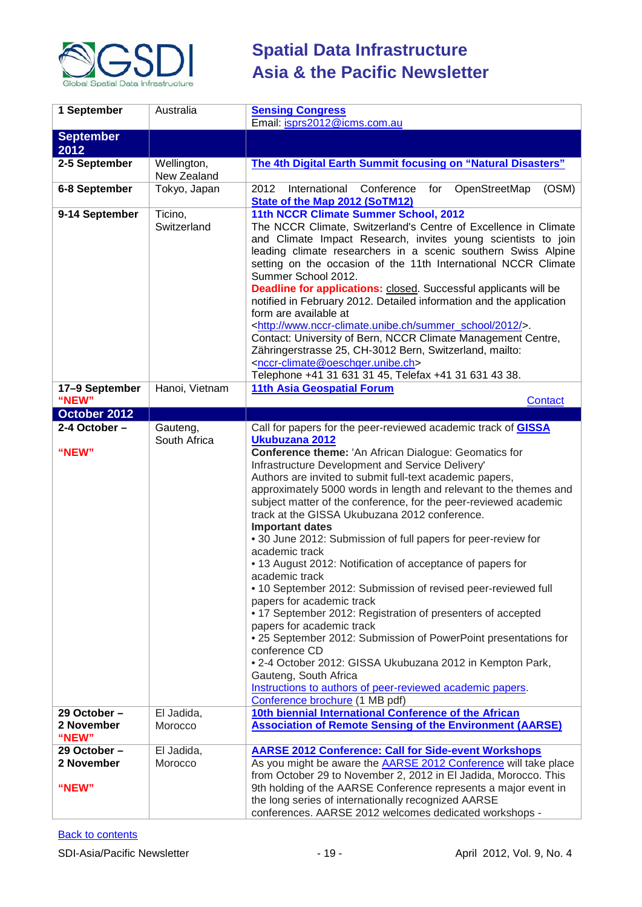

| 1 September                         | Australia                    | <b>Sensing Congress</b>                                                                                                                                                                                                                                                                                                                                                                                                                                                                                                                                                                                                                                                                                                                                                                                                                                                                                                                                                                                                                           |
|-------------------------------------|------------------------------|---------------------------------------------------------------------------------------------------------------------------------------------------------------------------------------------------------------------------------------------------------------------------------------------------------------------------------------------------------------------------------------------------------------------------------------------------------------------------------------------------------------------------------------------------------------------------------------------------------------------------------------------------------------------------------------------------------------------------------------------------------------------------------------------------------------------------------------------------------------------------------------------------------------------------------------------------------------------------------------------------------------------------------------------------|
|                                     |                              | Email: isprs2012@icms.com.au                                                                                                                                                                                                                                                                                                                                                                                                                                                                                                                                                                                                                                                                                                                                                                                                                                                                                                                                                                                                                      |
| <b>September</b><br>2012            |                              |                                                                                                                                                                                                                                                                                                                                                                                                                                                                                                                                                                                                                                                                                                                                                                                                                                                                                                                                                                                                                                                   |
| 2-5 September                       | Wellington,<br>New Zealand   | The 4th Digital Earth Summit focusing on "Natural Disasters"                                                                                                                                                                                                                                                                                                                                                                                                                                                                                                                                                                                                                                                                                                                                                                                                                                                                                                                                                                                      |
| 6-8 September                       | Tokyo, Japan                 | OpenStreetMap<br>International Conference for<br>(OSM)<br>2012<br><b>State of the Map 2012 (SoTM12)</b>                                                                                                                                                                                                                                                                                                                                                                                                                                                                                                                                                                                                                                                                                                                                                                                                                                                                                                                                           |
| 9-14 September                      | Ticino,<br>Switzerland       | 11th NCCR Climate Summer School, 2012<br>The NCCR Climate, Switzerland's Centre of Excellence in Climate<br>and Climate Impact Research, invites young scientists to join<br>leading climate researchers in a scenic southern Swiss Alpine<br>setting on the occasion of the 11th International NCCR Climate<br>Summer School 2012.<br><b>Deadline for applications:</b> closed. Successful applicants will be<br>notified in February 2012. Detailed information and the application<br>form are available at<br><http: 2012="" summer_school="" www.nccr-climate.unibe.ch=""></http:> .<br>Contact: University of Bern, NCCR Climate Management Centre,<br>Zähringerstrasse 25, CH-3012 Bern, Switzerland, mailto:<br><nccr-climate@oeschger.unibe.ch><br/>Telephone +41 31 631 31 45, Telefax +41 31 631 43 38.</nccr-climate@oeschger.unibe.ch>                                                                                                                                                                                               |
| 17-9 September<br>"NEW"             | Hanoi, Vietnam               | 11th Asia Geospatial Forum<br>Contact                                                                                                                                                                                                                                                                                                                                                                                                                                                                                                                                                                                                                                                                                                                                                                                                                                                                                                                                                                                                             |
| October 2012                        |                              |                                                                                                                                                                                                                                                                                                                                                                                                                                                                                                                                                                                                                                                                                                                                                                                                                                                                                                                                                                                                                                                   |
| 2-4 October -                       | Gauteng,                     | Call for papers for the peer-reviewed academic track of <b>GISSA</b>                                                                                                                                                                                                                                                                                                                                                                                                                                                                                                                                                                                                                                                                                                                                                                                                                                                                                                                                                                              |
| "NEW"                               | South Africa                 | Ukubuzana 2012<br>Conference theme: 'An African Dialogue: Geomatics for<br>Infrastructure Development and Service Delivery'<br>Authors are invited to submit full-text academic papers,<br>approximately 5000 words in length and relevant to the themes and<br>subject matter of the conference, for the peer-reviewed academic<br>track at the GISSA Ukubuzana 2012 conference.<br><b>Important dates</b><br>• 30 June 2012: Submission of full papers for peer-review for<br>academic track<br>• 13 August 2012: Notification of acceptance of papers for<br>academic track<br>• 10 September 2012: Submission of revised peer-reviewed full<br>papers for academic track<br>• 17 September 2012: Registration of presenters of accepted<br>papers for academic track<br>• 25 September 2012: Submission of PowerPoint presentations for<br>conference CD<br>• 2-4 October 2012: GISSA Ukubuzana 2012 in Kempton Park,<br>Gauteng, South Africa<br>Instructions to authors of peer-reviewed academic papers.<br>Conference brochure (1 MB pdf) |
| 29 October -<br>2 November<br>"NEW" | El Jadida,<br>Morocco        | 10th biennial International Conference of the African<br><b>Association of Remote Sensing of the Environment (AARSE)</b>                                                                                                                                                                                                                                                                                                                                                                                                                                                                                                                                                                                                                                                                                                                                                                                                                                                                                                                          |
| 29 October -<br>2 November<br>"NEW" | El Jadida,<br><b>Morocco</b> | <b>AARSE 2012 Conference: Call for Side-event Workshops</b><br>As you might be aware the <b>AARSE 2012 Conference</b> will take place<br>from October 29 to November 2, 2012 in El Jadida, Morocco. This<br>9th holding of the AARSE Conference represents a major event in<br>the long series of internationally recognized AARSE<br>conferences. AARSE 2012 welcomes dedicated workshops -                                                                                                                                                                                                                                                                                                                                                                                                                                                                                                                                                                                                                                                      |